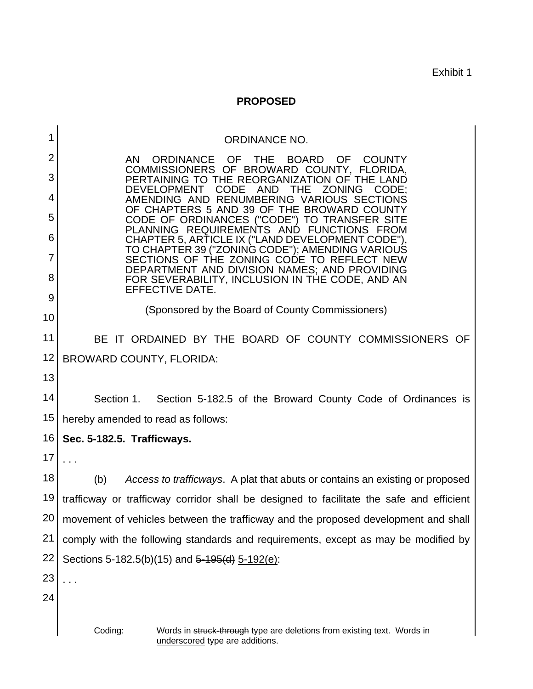Exhibit 1

## **PROPOSED**

| 1              | ORDINANCE NO.                                                                                                                                                               |  |  |  |  |  |  |  |
|----------------|-----------------------------------------------------------------------------------------------------------------------------------------------------------------------------|--|--|--|--|--|--|--|
| $\overline{2}$ | ORDINANCE OF<br>THE BOARD<br>OF.<br>AN -<br><b>COUNTY</b>                                                                                                                   |  |  |  |  |  |  |  |
| 3              | COMMISSIONERS OF BROWARD COUNTY, FLORIDA,<br>PERTAINING TO THE REORGANIZATION OF<br>THE LAND                                                                                |  |  |  |  |  |  |  |
| 4              | <b>DEVELOPMENT</b><br><b>CODE</b><br><b>AND</b><br>THE<br><b>ZONING</b><br>CODE:<br>AMENDING AND RENUMBERING VARIOUS SECTIONS<br>OF CHAPTERS 5 AND 39 OF THE BROWARD COUNTY |  |  |  |  |  |  |  |
| 5              | CODE OF ORDINANCES ("CODE") TO TRANSFER SITE<br>PLANNING REQUIREMENTS AND FUNCTIONS FROM                                                                                    |  |  |  |  |  |  |  |
| 6              | CHAPTER 5, ARTICLE IX ("LAND DEVELOPMENT CODE").<br>TO CHAPTER 39 ("ZONING CODE"); AMENDING VARIOUS                                                                         |  |  |  |  |  |  |  |
| 7              | SECTIONS OF THE ZONING CODE TO REFLECT NEW<br>DEPARTMENT AND DIVISION NAMES; AND PROVIDING                                                                                  |  |  |  |  |  |  |  |
| 8              | FOR SEVERABILITY, INCLUSION IN THE CODE, AND AN<br>EFFECTIVE DATE.                                                                                                          |  |  |  |  |  |  |  |
| 9              | (Sponsored by the Board of County Commissioners)                                                                                                                            |  |  |  |  |  |  |  |
| 10             |                                                                                                                                                                             |  |  |  |  |  |  |  |
| 11             | BE IT ORDAINED BY THE BOARD OF COUNTY COMMISSIONERS OF                                                                                                                      |  |  |  |  |  |  |  |
| 12             | <b>BROWARD COUNTY, FLORIDA:</b>                                                                                                                                             |  |  |  |  |  |  |  |
| 13             |                                                                                                                                                                             |  |  |  |  |  |  |  |
| 14             | Section 1.<br>Section 5-182.5 of the Broward County Code of Ordinances is                                                                                                   |  |  |  |  |  |  |  |
| 15             | hereby amended to read as follows:                                                                                                                                          |  |  |  |  |  |  |  |
| 16             | Sec. 5-182.5. Trafficways.                                                                                                                                                  |  |  |  |  |  |  |  |
| 17             |                                                                                                                                                                             |  |  |  |  |  |  |  |
| 18             | (b)<br>Access to trafficways. A plat that abuts or contains an existing or proposed                                                                                         |  |  |  |  |  |  |  |
| 19             | trafficway or trafficway corridor shall be designed to facilitate the safe and efficient                                                                                    |  |  |  |  |  |  |  |
| 20             | movement of vehicles between the trafficway and the proposed development and shall                                                                                          |  |  |  |  |  |  |  |
| 21             | comply with the following standards and requirements, except as may be modified by                                                                                          |  |  |  |  |  |  |  |
| 22             | Sections 5-182.5(b)(15) and 5-195(d) 5-192(e):                                                                                                                              |  |  |  |  |  |  |  |
| 23             | .                                                                                                                                                                           |  |  |  |  |  |  |  |
| 24             |                                                                                                                                                                             |  |  |  |  |  |  |  |
|                | Coding:<br>Words in struck-through type are deletions from existing text. Words in<br>underscored type are additions.                                                       |  |  |  |  |  |  |  |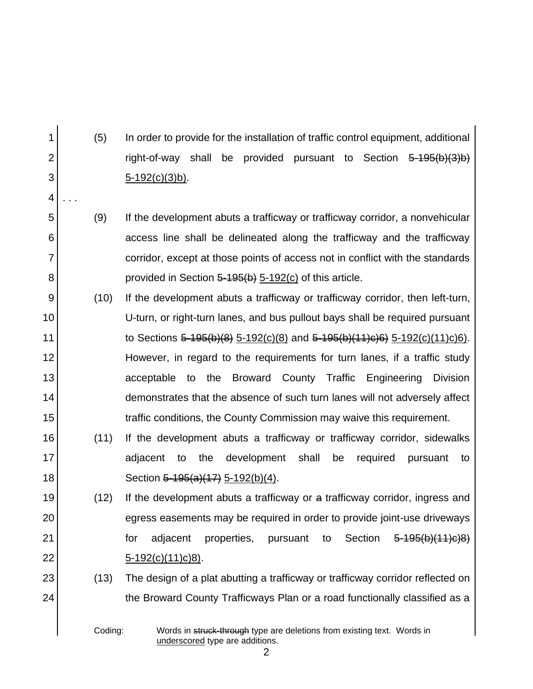(5) In order to provide for the installation of traffic control equipment, additional right-of-way shall be provided pursuant to Section 5-195(b)(3)b) 5-192(c)(3)b).

- (9) If the development abuts a trafficway or trafficway corridor, a nonvehicular access line shall be delineated along the trafficway and the trafficway corridor, except at those points of access not in conflict with the standards provided in Section  $5-195(b)$  5-192(c) of this article.
- 9 10 11 12 13 14 15 (10) If the development abuts a trafficway or trafficway corridor, then left-turn, U-turn, or right-turn lanes, and bus pullout bays shall be required pursuant to Sections  $5-195(b)(8)$  5-192(c)(8) and  $5-195(b)(11)c(6)$  5-192(c)(11)c)6). However, in regard to the requirements for turn lanes, if a traffic study acceptable to the Broward County Traffic Engineering Division demonstrates that the absence of such turn lanes will not adversely affect traffic conditions, the County Commission may waive this requirement.
- 16 17 18 (11) If the development abuts a trafficway or trafficway corridor, sidewalks adjacent to the development shall be required pursuant to Section 5-195(a)(17) 5-192(b)(4).
	- (12) If the development abuts a trafficway or a trafficway corridor, ingress and egress easements may be required in order to provide joint-use driveways for adjacent properties, pursuant to Section 5-195(b)(11)c)8) 5-192(c)(11)c)8).
		- (13) The design of a plat abutting a trafficway or trafficway corridor reflected on the Broward County Trafficways Plan or a road functionally classified as a

1

2

3

4

. . .

5

6

7

8

19

20

21

22

23

24

Coding: Words in struck-through type are deletions from existing text. Words in underscored type are additions.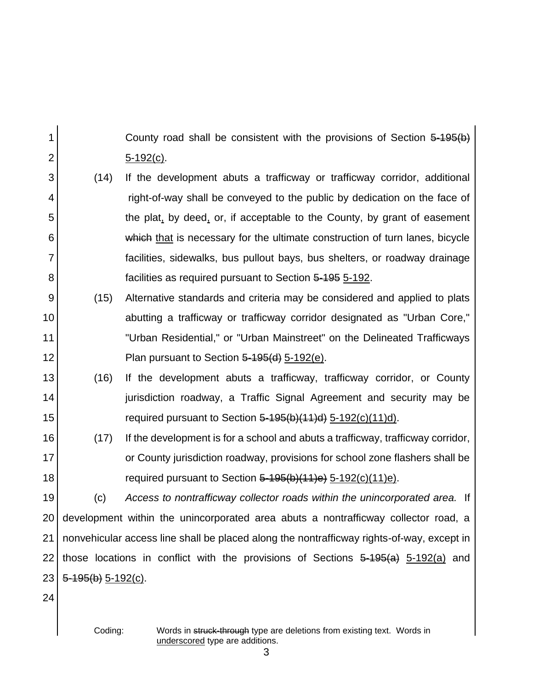County road shall be consistent with the provisions of Section 5-195(b) 5-192(c).

- 3 4 5 6 7 8 (14) If the development abuts a trafficway or trafficway corridor, additional right-of-way shall be conveyed to the public by dedication on the face of the plat, by deed, or, if acceptable to the County, by grant of easement which that is necessary for the ultimate construction of turn lanes, bicycle facilities, sidewalks, bus pullout bays, bus shelters, or roadway drainage facilities as required pursuant to Section 5-195 5-192.
- 9 10 11 12 (15) Alternative standards and criteria may be considered and applied to plats abutting a trafficway or trafficway corridor designated as "Urban Core," "Urban Residential," or "Urban Mainstreet" on the Delineated Trafficways Plan pursuant to Section 5-195(d) 5-192(e).
- 13 14 15 (16) If the development abuts a trafficway, trafficway corridor, or County jurisdiction roadway, a Traffic Signal Agreement and security may be required pursuant to Section  $5-195(b)(11)d$  5-192(c)(11)d).
- 16 17 18 (17) If the development is for a school and abuts a trafficway, trafficway corridor, or County jurisdiction roadway, provisions for school zone flashers shall be required pursuant to Section  $5-195(b)(11)e$   $5-192(c)(11)e$ .

19 20 21 22 23 (c) *Access to nontrafficway collector roads within the unincorporated area.* If development within the unincorporated area abuts a nontrafficway collector road, a nonvehicular access line shall be placed along the nontrafficway rights-of-way, except in those locations in conflict with the provisions of Sections  $5-195(a)$ ,  $5-192(a)$  and  $5 - 195(b) 5 - 192(c)$ .

24

1

2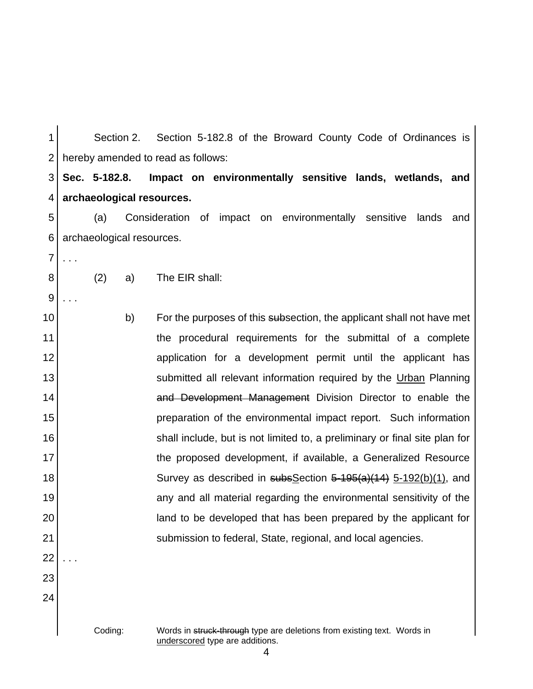1 2 3 4 5 6 7 8 9 10 11 12 13 14 15 16 17 18 19 20 21 22 23 24 Section 2. Section 5-182.8 of the Broward County Code of Ordinances is hereby amended to read as follows: **Sec. 5-182.8. Impact on environmentally sensitive lands, wetlands, and archaeological resources.** (a) Consideration of impact on environmentally sensitive lands and archaeological resources. . . . (2) a) The EIR shall: . . . b) For the purposes of this subsection, the applicant shall not have met the procedural requirements for the submittal of a complete application for a development permit until the applicant has submitted all relevant information required by the Urban Planning and Development Management Division Director to enable the preparation of the environmental impact report. Such information shall include, but is not limited to, a preliminary or final site plan for the proposed development, if available, a Generalized Resource Survey as described in subsSection 5-195(a)(14) 5-192(b)(1), and any and all material regarding the environmental sensitivity of the land to be developed that has been prepared by the applicant for submission to federal, State, regional, and local agencies. . . .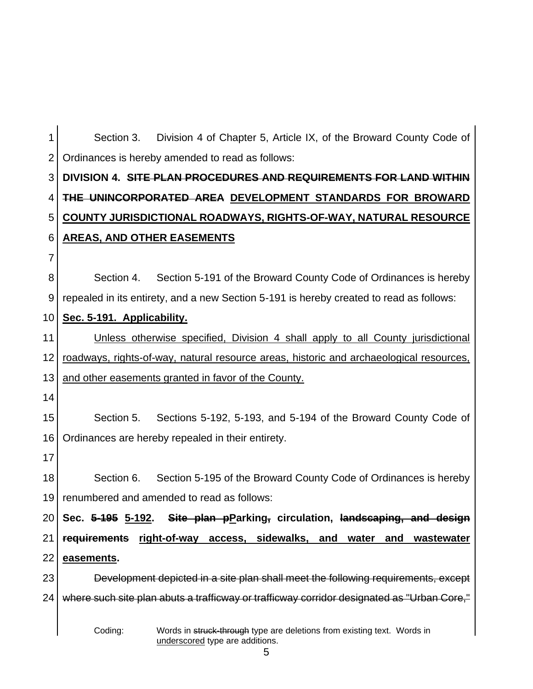| 1               | Division 4 of Chapter 5, Article IX, of the Broward County Code of<br>Section 3.                                      |
|-----------------|-----------------------------------------------------------------------------------------------------------------------|
| $\overline{2}$  | Ordinances is hereby amended to read as follows:                                                                      |
| 3               | DIVISION 4. SITE PLAN PROCEDURES AND REQUIREMENTS FOR LAND WITHIN                                                     |
| 4               | THE UNINCORPORATED AREA DEVELOPMENT STANDARDS FOR BROWARD                                                             |
| 5               | COUNTY JURISDICTIONAL ROADWAYS, RIGHTS-OF-WAY, NATURAL RESOURCE                                                       |
| 6               | <b>AREAS, AND OTHER EASEMENTS</b>                                                                                     |
| $\overline{7}$  |                                                                                                                       |
| 8               | Section 5-191 of the Broward County Code of Ordinances is hereby<br>Section 4.                                        |
| 9               | repealed in its entirety, and a new Section 5-191 is hereby created to read as follows:                               |
| 10              | Sec. 5-191. Applicability.                                                                                            |
| 11              | Unless otherwise specified, Division 4 shall apply to all County jurisdictional                                       |
| 12              | roadways, rights-of-way, natural resource areas, historic and archaeological resources,                               |
| 13              | and other easements granted in favor of the County.                                                                   |
| 14              |                                                                                                                       |
| 15              | Sections 5-192, 5-193, and 5-194 of the Broward County Code of<br>Section 5.                                          |
| 16              | Ordinances are hereby repealed in their entirety.                                                                     |
| 17              |                                                                                                                       |
| 18              | Section 5-195 of the Broward County Code of Ordinances is hereby<br>Section 6.                                        |
| 19              | renumbered and amended to read as follows:                                                                            |
| 20 <sub>1</sub> | Sec. 5-195 5-192. Site plan pParking, circulation, landscaping, and design                                            |
| 21              | right-of-way access, sidewalks, and<br>requirements<br><u>water</u><br>and<br>wastewater                              |
| 22              | easements.                                                                                                            |
| 23              | Development depicted in a site plan shall meet the following requirements, except                                     |
| 24              | where such site plan abuts a trafficway or trafficway corridor designated as "Urban Core,"                            |
|                 | Coding:<br>Words in struck-through type are deletions from existing text. Words in<br>underscored type are additions. |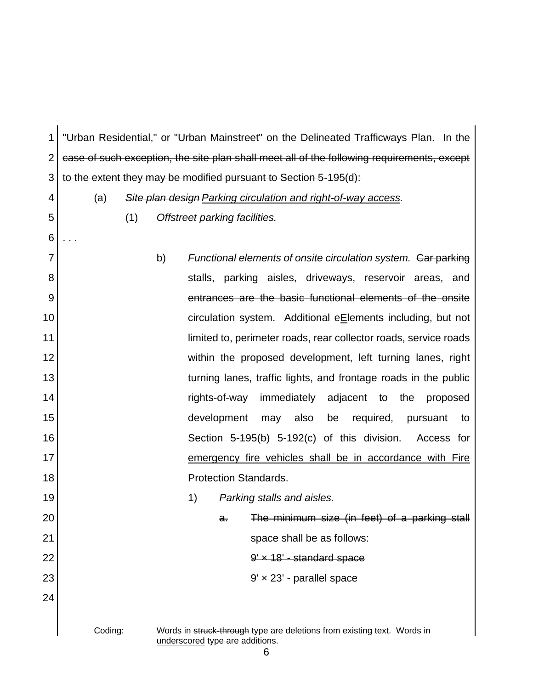1 2 3 4 5 6 7 8 9 10 11 12 13 14 15 16 17 18 19 20 21 22 23 24 Coding: Words in struck-through type are deletions from existing text. Words in underscored type are additions. "Urban Residential," or "Urban Mainstreet" on the Delineated Trafficways Plan. In the case of such exception, the site plan shall meet all of the following requirements, except to the extent they may be modified pursuant to Section 5-195(d): (a) *Site plan design Parking circulation and right-of-way access.* (1) *Offstreet parking facilities.* . . . b) Functional elements of onsite circulation system. Car parking stalls, parking aisles, driveways, reservoir areas, and entrances are the basic functional elements of the onsite circulation system. Additional eElements including, but not limited to, perimeter roads, rear collector roads, service roads within the proposed development, left turning lanes, right turning lanes, traffic lights, and frontage roads in the public rights-of-way immediately adjacent to the proposed development may also be required, pursuant to Section 5-195(b) 5-192(c) of this division. Access for emergency fire vehicles shall be in accordance with Fire Protection Standards. 1) *Parking stalls and aisles.* a. The minimum size (in feet) of a parking stall space shall be as follows:  $9' \times 18'$  - standard space  $9' \times 23'$  - parallel space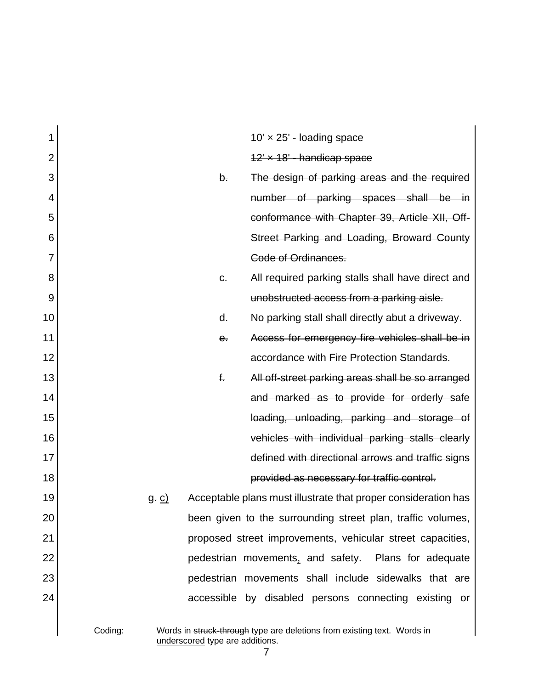| 1              |              |                                 | $10' \times 25'$ - loading space                                        |
|----------------|--------------|---------------------------------|-------------------------------------------------------------------------|
| $\overline{2}$ |              |                                 | 12 × 18 - handicap space                                                |
| 3              |              | $\mathsf{b}$ .                  | The design of parking areas and the required                            |
| 4              |              |                                 | number of parking spaces shall be in                                    |
| 5              |              |                                 | conformance with Chapter 39, Article XII, Off-                          |
| 6              |              |                                 | Street Parking and Loading, Broward County                              |
| 7              |              |                                 | Code of Ordinances.                                                     |
| 8              |              | $\epsilon$ .                    | All required parking stalls shall have direct and                       |
| 9              |              |                                 | unobstructed access from a parking aisle.                               |
| 10             |              | $d_{\tau}$                      | No parking stall shall directly abut a driveway.                        |
| 11             |              | $e$ .                           | Access for emergency fire vehicles shall be in                          |
| 12             |              |                                 | accordance with Fire Protection Standards.                              |
| 13             |              | $f_{\tau}$                      | All off-street parking areas shall be so arranged                       |
| 14             |              |                                 | and marked as to provide for orderly safe                               |
| 15             |              |                                 | loading, unloading, parking and storage of                              |
| 16             |              |                                 | vehicles with individual parking stalls clearly                         |
| 17             |              |                                 | defined with directional arrows and traffic signs                       |
| 18             |              |                                 | provided as necessary for traffic control.                              |
| 19             | <u>g. c)</u> |                                 | Acceptable plans must illustrate that proper consideration has          |
| 20             |              |                                 | been given to the surrounding street plan, traffic volumes,             |
| 21             |              |                                 | proposed street improvements, vehicular street capacities,              |
| 22             |              |                                 | pedestrian movements, and safety. Plans for adequate                    |
| 23             |              |                                 | pedestrian movements shall include sidewalks that are                   |
| 24             |              |                                 | accessible by disabled persons connecting existing or                   |
|                |              |                                 |                                                                         |
|                | Coding:      | underscored type are additions. | Words in struck-through type are deletions from existing text. Words in |

 $\frac{7}{7}$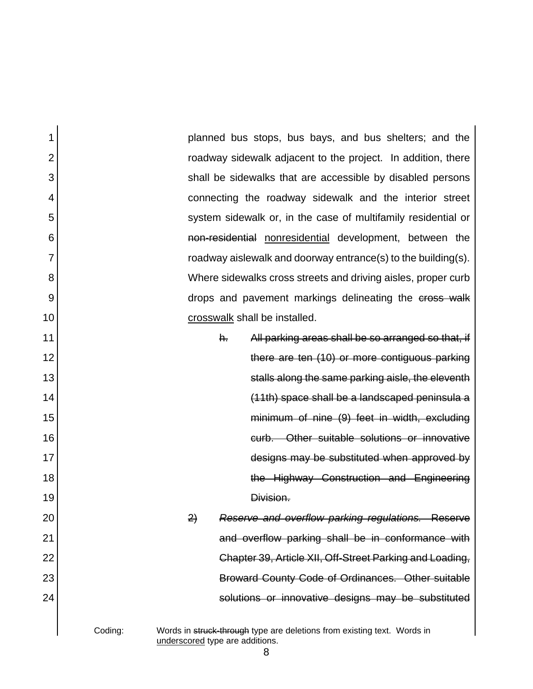| 1              | planned bus stops, bus bays, and bus shelters; and the                                                                |
|----------------|-----------------------------------------------------------------------------------------------------------------------|
| $\overline{2}$ | roadway sidewalk adjacent to the project. In addition, there                                                          |
| 3              | shall be sidewalks that are accessible by disabled persons                                                            |
| 4              | connecting the roadway sidewalk and the interior street                                                               |
| 5              | system sidewalk or, in the case of multifamily residential or                                                         |
| 6              | non-residential nonresidential development, between the                                                               |
| 7              | roadway aislewalk and doorway entrance(s) to the building(s).                                                         |
| 8              | Where sidewalks cross streets and driving aisles, proper curb                                                         |
| 9              | drops and pavement markings delineating the cross walk                                                                |
| 10             | crosswalk shall be installed.                                                                                         |
| 11             | All parking areas shall be so arranged so that, if<br>$h_{\tau}$                                                      |
| 12             | there are ten (10) or more contiguous parking                                                                         |
| 13             | stalls along the same parking aisle, the eleventh                                                                     |
| 14             | (11th) space shall be a landscaped peninsula a                                                                        |
| 15             | minimum of nine (9) feet in width, excluding                                                                          |
| 16             | curb. Other suitable solutions or innovative                                                                          |
| 17             | designs may be substituted when approved by                                                                           |
| 18             | the Highway Construction and Engineering                                                                              |
| 19             | Division.                                                                                                             |
| 20             | Reserve and overflow parking regulations. Reserve<br>$\left( \frac{2}{2} \right)$                                     |
| 21             | and overflow parking shall be in conformance with                                                                     |
| 22             | Chapter 39, Article XII, Off-Street Parking and Loading,                                                              |
| 23             | Broward County Code of Ordinances. Other suitable                                                                     |
| 24             | solutions or innovative designs may be substituted                                                                    |
|                | Coding:<br>Words in struck-through type are deletions from existing text. Words in<br>underscored type are additions. |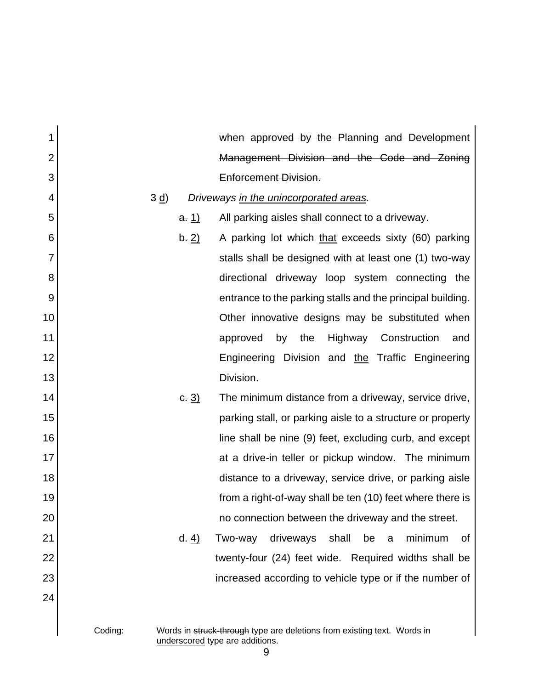| 1              | when approved by the Planning and Development                                            |
|----------------|------------------------------------------------------------------------------------------|
| $\overline{2}$ | Management Division and the Code and Zoning                                              |
| 3              | <b>Enforcement Division.</b>                                                             |
| 4              | 3 d<br>Driveways in the unincorporated areas.                                            |
| 5              | All parking aisles shall connect to a driveway.<br>a. <u>1)</u>                          |
| 6              | A parking lot which that exceeds sixty (60) parking<br>b. 2)                             |
| $\overline{7}$ | stalls shall be designed with at least one (1) two-way                                   |
| 8              | directional driveway loop system connecting the                                          |
| 9              | entrance to the parking stalls and the principal building.                               |
| 10             | Other innovative designs may be substituted when                                         |
| 11             | Highway Construction<br>by<br>the<br>approved<br>and                                     |
| 12             | Engineering Division and the Traffic Engineering                                         |
| 13             | Division.                                                                                |
| 14             | $-3)$<br>The minimum distance from a driveway, service drive,                            |
| 15             | parking stall, or parking aisle to a structure or property                               |
| 16             | line shall be nine (9) feet, excluding curb, and except                                  |
| 17             | at a drive-in teller or pickup window. The minimum                                       |
| 18             | distance to a driveway, service drive, or parking aisle                                  |
| 19             | from a right-of-way shall be ten (10) feet where there is                                |
| 20             | no connection between the driveway and the street.                                       |
| 21             | driveways<br>shall<br>minimum<br>$\frac{d. 4}{2}$<br>Two-way<br>be<br>Οf<br>$\mathsf{a}$ |
| 22             | twenty-four (24) feet wide. Required widths shall be                                     |
| 23             | increased according to vehicle type or if the number of                                  |
| 24             |                                                                                          |
|                |                                                                                          |
|                | Coding:<br>Words in struck-through type are deletions from existing text. Words in       |

underscored type are additions.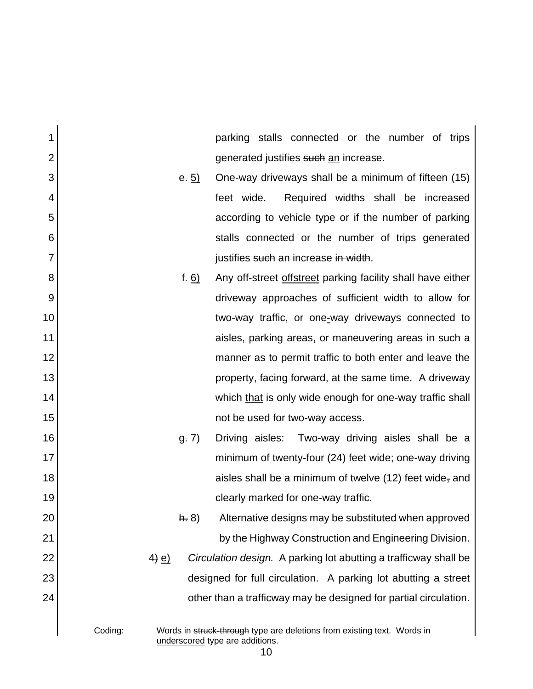| 1              |         | parking stalls connected or the number of trips                                                            |
|----------------|---------|------------------------------------------------------------------------------------------------------------|
| $\overline{2}$ |         | generated justifies such an increase.                                                                      |
| 3              | e. 5)   | One-way driveways shall be a minimum of fifteen (15)                                                       |
| 4              |         | Required widths shall be increased<br>feet wide.                                                           |
| 5              |         | according to vehicle type or if the number of parking                                                      |
| 6              |         | stalls connected or the number of trips generated                                                          |
| 7              |         | justifies such an increase in width.                                                                       |
| 8              |         | Any off-street offstreet parking facility shall have either<br>f. 6)                                       |
| 9              |         | driveway approaches of sufficient width to allow for                                                       |
| 10             |         | two-way traffic, or one-way driveways connected to                                                         |
| 11             |         | aisles, parking areas, or maneuvering areas in such a                                                      |
| 12             |         | manner as to permit traffic to both enter and leave the                                                    |
| 13             |         | property, facing forward, at the same time. A driveway                                                     |
| 14             |         | which that is only wide enough for one-way traffic shall                                                   |
| 15             |         | not be used for two-way access.                                                                            |
| 16             | 9: 7)   | Driving aisles: Two-way driving aisles shall be a                                                          |
| 17             |         | minimum of twenty-four (24) feet wide; one-way driving                                                     |
| 18             |         | aisles shall be a minimum of twelve $(12)$ feet wide, and                                                  |
| 19             |         | clearly marked for one-way traffic.                                                                        |
| 20             | h. 8)   | Alternative designs may be substituted when approved                                                       |
| 21             |         | by the Highway Construction and Engineering Division.                                                      |
| 22             | $4)$ e) | Circulation design. A parking lot abutting a trafficway shall be                                           |
| 23             |         | designed for full circulation. A parking lot abutting a street                                             |
| 24             |         | other than a trafficway may be designed for partial circulation.                                           |
|                |         |                                                                                                            |
|                | Coding: | Words in struck-through type are deletions from existing text. Words in<br>underscored type are additions. |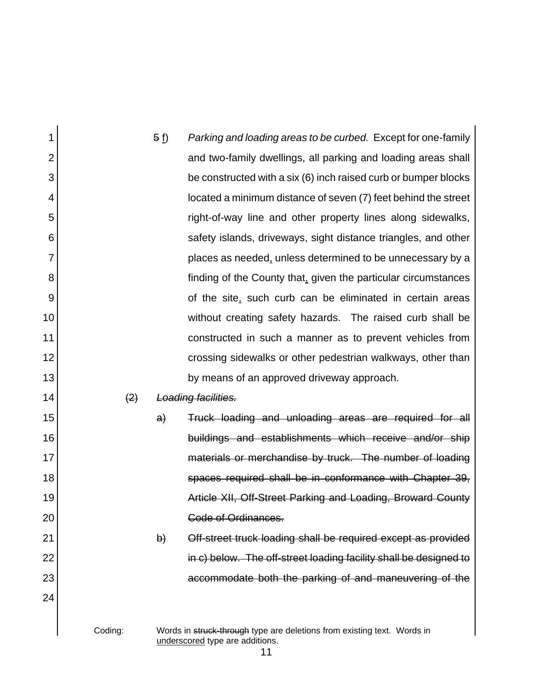| 1              |                   | 5(f)   | Parking and loading areas to be curbed. Except for one-family                                              |
|----------------|-------------------|--------|------------------------------------------------------------------------------------------------------------|
| $\overline{2}$ |                   |        | and two-family dwellings, all parking and loading areas shall                                              |
| 3              |                   |        | be constructed with a six (6) inch raised curb or bumper blocks                                            |
| 4              |                   |        | located a minimum distance of seven (7) feet behind the street                                             |
| 5              |                   |        | right-of-way line and other property lines along sidewalks,                                                |
| 6              |                   |        | safety islands, driveways, sight distance triangles, and other                                             |
| 7              |                   |        | places as needed, unless determined to be unnecessary by a                                                 |
| 8              |                   |        | finding of the County that, given the particular circumstances                                             |
| 9              |                   |        | of the site, such curb can be eliminated in certain areas                                                  |
| 10             |                   |        | without creating safety hazards. The raised curb shall be                                                  |
| 11             |                   |        | constructed in such a manner as to prevent vehicles from                                                   |
| 12             |                   |        | crossing sidewalks or other pedestrian walkways, other than                                                |
| 13             |                   |        | by means of an approved driveway approach.                                                                 |
| 14             | $\left( 2\right)$ |        | Loading facilities.                                                                                        |
| 15             |                   | a)     | Truck loading and unloading areas are required for all                                                     |
| 16             |                   |        | buildings and establishments which receive and/or ship                                                     |
| 17             |                   |        | materials or merchandise by truck. The number of loading                                                   |
| 18             |                   |        | spaces required shall be in conformance with Chapter 39,                                                   |
| 19             |                   |        | Article XII, Off-Street Parking and Loading, Broward County                                                |
| 20             |                   |        | <b>Code of Ordinances.</b>                                                                                 |
| 21             |                   | $\phi$ | Off-street truck loading shall be required except as provided                                              |
| 22             |                   |        | in c) below. The off-street loading facility shall be designed to                                          |
| 23             |                   |        | accommodate both the parking of and maneuvering of the                                                     |
| 24             |                   |        |                                                                                                            |
|                | Coding:           |        | Words in struck-through type are deletions from existing text. Words in<br>underscored type are additions. |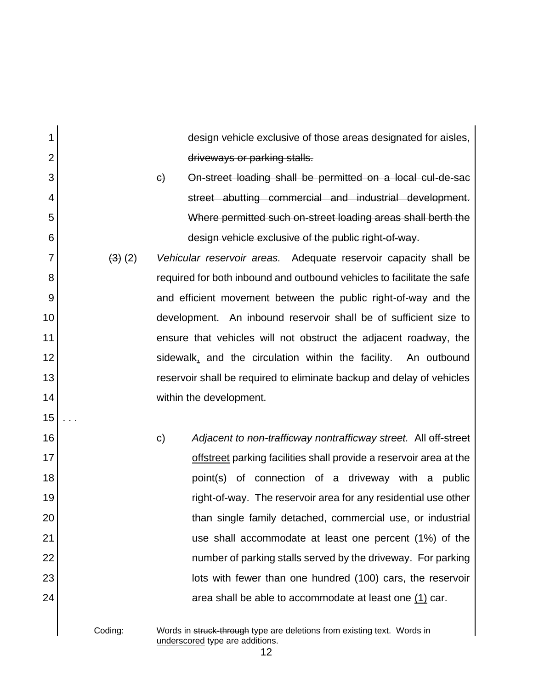design vehicle exclusive of those areas designated for aisles, driveways or parking stalls.

- c) On-street loading shall be permitted on a local cul-de-sac street abutting commercial and industrial development. Where permitted such on-street loading areas shall berth the design vehicle exclusive of the public right-of-way.
- (3) (2) *Vehicular reservoir areas.* Adequate reservoir capacity shall be required for both inbound and outbound vehicles to facilitate the safe and efficient movement between the public right-of-way and the development. An inbound reservoir shall be of sufficient size to ensure that vehicles will not obstruct the adjacent roadway, the sidewalk, and the circulation within the facility. An outbound reservoir shall be required to eliminate backup and delay of vehicles within the development.
	- c) *Adjacent to non-trafficway nontrafficway street.* All off-street offstreet parking facilities shall provide a reservoir area at the point(s) of connection of a driveway with a public right-of-way. The reservoir area for any residential use other than single family detached, commercial use, or industrial use shall accommodate at least one percent (1%) of the number of parking stalls served by the driveway. For parking lots with fewer than one hundred (100) cars, the reservoir area shall be able to accommodate at least one  $(1)$  car.

1

2

3

4

5

6

7

8

9

10

11

12

13

14

15

. . .

16

17

18

19

20

21

22

23

24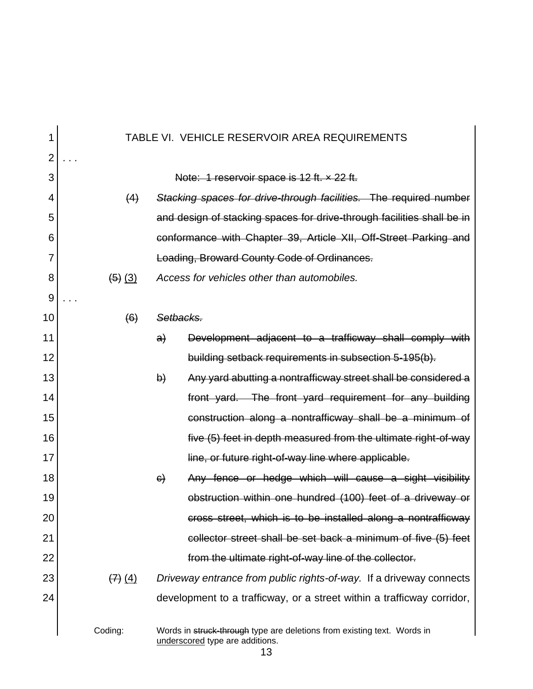| 1              | TABLE VI. VEHICLE RESERVOIR AREA REQUIREMENTS |              |                                                                                                            |  |  |  |
|----------------|-----------------------------------------------|--------------|------------------------------------------------------------------------------------------------------------|--|--|--|
| $\overline{2}$ |                                               |              |                                                                                                            |  |  |  |
| 3              |                                               |              | Note: 1 reservoir space is 12 ft. x 22 ft.                                                                 |  |  |  |
| 4              | (4)                                           |              | Stacking spaces for drive-through facilities. The required number                                          |  |  |  |
| 5              |                                               |              | and design of stacking spaces for drive-through facilities shall be in                                     |  |  |  |
| 6              |                                               |              | conformance with Chapter 39, Article XII, Off-Street Parking and                                           |  |  |  |
| 7              |                                               |              | Loading, Broward County Code of Ordinances.                                                                |  |  |  |
| 8              | $(5)$ $(3)$                                   |              | Access for vehicles other than automobiles.                                                                |  |  |  |
| 9              |                                               |              |                                                                                                            |  |  |  |
| 10             | (6)                                           | Setbacks.    |                                                                                                            |  |  |  |
| 11             |                                               | a)           | Development adjacent to a trafficway shall comply with                                                     |  |  |  |
| 12             |                                               |              | building setback requirements in subsection 5-195(b).                                                      |  |  |  |
| 13             |                                               | $\mathsf{b}$ | Any yard abutting a nontrafficway street shall be considered a                                             |  |  |  |
| 14             |                                               |              | front yard. The front yard requirement for any building                                                    |  |  |  |
| 15             |                                               |              | construction along a nontrafficway shall be a minimum of                                                   |  |  |  |
| 16             |                                               |              | five (5) feet in depth measured from the ultimate right-of-way                                             |  |  |  |
| 17             |                                               |              | line, or future right-of-way line where applicable.                                                        |  |  |  |
| 18             |                                               | $\Theta$     | Any fence or hedge which will cause a sight visibility                                                     |  |  |  |
| 19             |                                               |              | obstruction within one hundred (100) feet of a driveway or                                                 |  |  |  |
| 20             |                                               |              | cross street, which is to be installed along a nontrafficway                                               |  |  |  |
| 21             |                                               |              | collector street shall be set back a minimum of five (5) feet                                              |  |  |  |
| 22             |                                               |              | from the ultimate right-of-way line of the collector.                                                      |  |  |  |
| 23             | $(7)$ (4)                                     |              | Driveway entrance from public rights-of-way. If a driveway connects                                        |  |  |  |
| 24             |                                               |              | development to a trafficway, or a street within a trafficway corridor,                                     |  |  |  |
|                | Coding:                                       |              | Words in struck-through type are deletions from existing text. Words in<br>underscored type are additions. |  |  |  |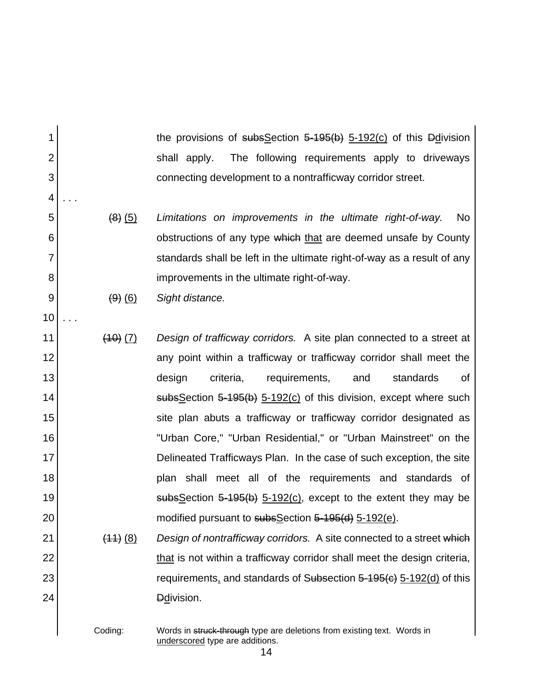the provisions of subsSection 5-195(b) 5-192(c) of this Ddivision shall apply. The following requirements apply to driveways connecting development to a nontrafficway corridor street. (8) (5) *Limitations on improvements in the ultimate right-of-way.* No

obstructions of any type which that are deemed unsafe by County standards shall be left in the ultimate right-of-way as a result of any improvements in the ultimate right-of-way.

(9) (6) *Sight distance.*

1

2

3

4

. . .

5

6

7

8

9

10

. . .

11 12 13 14 15 16 17 18 19 20 (10) (7) *Design of trafficway corridors.* A site plan connected to a street at any point within a trafficway or trafficway corridor shall meet the design criteria, requirements, and standards of subsSection 5-195(b) 5-192(c) of this division, except where such site plan abuts a trafficway or trafficway corridor designated as "Urban Core," "Urban Residential," or "Urban Mainstreet" on the Delineated Trafficways Plan. In the case of such exception, the site plan shall meet all of the requirements and standards of subsSection 5-195(b) 5-192(c), except to the extent they may be modified pursuant to subsSection 5-195(d) 5-192(e).

21 22 23 24 (11) (8) *Design of nontrafficway corridors.* A site connected to a street which that is not within a trafficway corridor shall meet the design criteria, requirements, and standards of Subsection 5-195(c) 5-192(d) of this D<sub>d</sub>ivision.

Coding: Words in struck-through type are deletions from existing text. Words in underscored type are additions.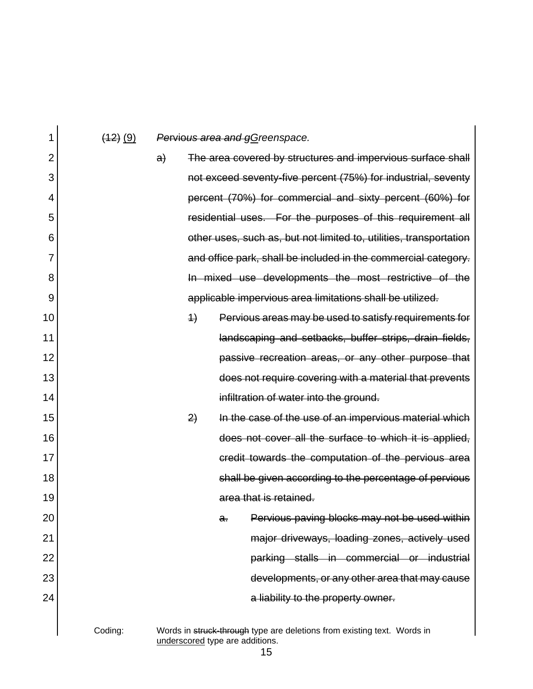| 1              | $(12)$ (9) |    |                              |    | Pervious area and gGreenspace.                                                                             |
|----------------|------------|----|------------------------------|----|------------------------------------------------------------------------------------------------------------|
| $\overline{2}$ |            | a) |                              |    | The area covered by structures and impervious surface shall                                                |
| 3              |            |    |                              |    | not exceed seventy-five percent (75%) for industrial, seventy                                              |
| 4              |            |    |                              |    | percent (70%) for commercial and sixty percent (60%) for                                                   |
| 5              |            |    |                              |    | residential uses. For the purposes of this requirement all                                                 |
| 6              |            |    |                              |    | other uses, such as, but not limited to, utilities, transportation                                         |
| 7              |            |    |                              |    | and office park, shall be included in the commercial category.                                             |
| 8              |            |    |                              |    | In mixed use developments the most restrictive of the                                                      |
| 9              |            |    |                              |    | applicable impervious area limitations shall be utilized.                                                  |
| 10             |            |    | $\left\langle \right\rangle$ |    | Pervious areas may be used to satisfy requirements for                                                     |
| 11             |            |    |                              |    | landscaping and setbacks, buffer strips, drain fields,                                                     |
| 12             |            |    |                              |    | passive recreation areas, or any other purpose that                                                        |
| 13             |            |    |                              |    | does not require covering with a material that prevents                                                    |
| 14             |            |    |                              |    | infiltration of water into the ground.                                                                     |
| 15             |            |    | 2)                           |    | In the case of the use of an impervious material which                                                     |
| 16             |            |    |                              |    | does not cover all the surface to which it is applied,                                                     |
| 17             |            |    |                              |    | credit towards the computation of the pervious area                                                        |
| 18             |            |    |                              |    | shall be given according to the percentage of pervious                                                     |
| 19             |            |    |                              |    | area that is retained.                                                                                     |
| 20             |            |    |                              | a. | Pervious paving blocks may not be used within                                                              |
| 21             |            |    |                              |    | major driveways, loading zones, actively used                                                              |
| 22             |            |    |                              |    | parking stalls in commercial or industrial                                                                 |
| 23             |            |    |                              |    | developments, or any other area that may cause                                                             |
| 24             |            |    |                              |    | a liability to the property owner.                                                                         |
|                |            |    |                              |    |                                                                                                            |
|                | Coding:    |    |                              |    | Words in struck-through type are deletions from existing text. Words in<br>underscored type are additions. |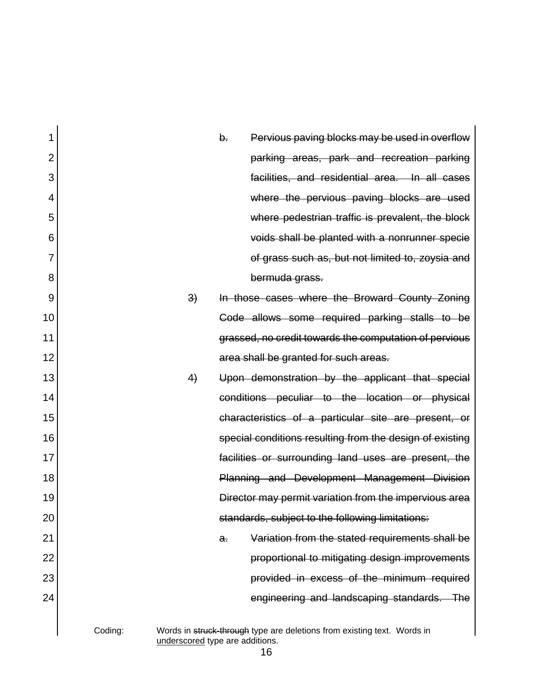| 1              |         |                                 | b. | Pervious paving blocks may be used in overflow                          |
|----------------|---------|---------------------------------|----|-------------------------------------------------------------------------|
| $\overline{2}$ |         |                                 |    | parking areas, park and recreation parking                              |
| 3              |         |                                 |    | facilities, and residential area. In all cases                          |
| 4              |         |                                 |    | where the pervious paving blocks are used                               |
| 5              |         |                                 |    | where pedestrian traffic is prevalent, the block                        |
| 6              |         |                                 |    | voids shall be planted with a nonrunner specie                          |
| 7              |         |                                 |    | of grass such as, but not limited to, zoysia and                        |
| 8              |         |                                 |    | bermuda grass.                                                          |
| 9              |         | 3)                              |    | In those cases where the Broward County Zoning                          |
| 10             |         |                                 |    | Code allows some required parking stalls to be                          |
| 11             |         |                                 |    | grassed, no credit towards the computation of pervious                  |
| 12             |         |                                 |    | area shall be granted for such areas.                                   |
| 13             |         | 4)                              |    | Upon demonstration by the applicant that special                        |
| 14             |         |                                 |    | conditions peculiar to the location or physical                         |
| 15             |         |                                 |    | characteristics of a particular site are present, or                    |
| 16             |         |                                 |    | special conditions resulting from the design of existing                |
| 17             |         |                                 |    | facilities or surrounding land uses are present, the                    |
| 18             |         |                                 |    | Planning and Development Management Division                            |
| 19             |         |                                 |    | Director may permit variation from the impervious area                  |
| 20             |         |                                 |    | standards, subject to the following limitations:                        |
| 21             |         |                                 | a. | Variation from the stated requirements shall be                         |
| 22             |         |                                 |    | proportional to mitigating design improvements                          |
| 23             |         |                                 |    | provided in excess of the minimum required                              |
| 24             |         |                                 |    | engineering and landscaping standards. The                              |
|                | Coding: | underscored type are additions. |    | Words in struck-through type are deletions from existing text. Words in |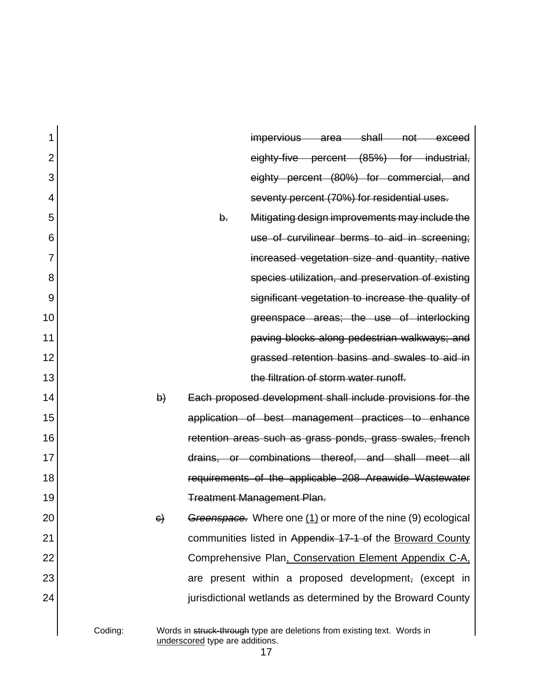| 1              |         |          |                                 | impervious area shall                                                   |  | $\rightarrow$ not $\rightarrow$ | exceed |
|----------------|---------|----------|---------------------------------|-------------------------------------------------------------------------|--|---------------------------------|--------|
| $\overline{2}$ |         |          |                                 | eighty-five percent (85%) for industrial,                               |  |                                 |        |
| 3              |         |          |                                 | eighty percent (80%) for commercial, and                                |  |                                 |        |
| 4              |         |          |                                 | seventy percent (70%) for residential uses.                             |  |                                 |        |
| 5              |         |          | b.                              | Mitigating design improvements may include the                          |  |                                 |        |
| 6              |         |          |                                 | use of curvilinear berms to aid in screening;                           |  |                                 |        |
| 7              |         |          |                                 | increased vegetation size and quantity, native                          |  |                                 |        |
| 8              |         |          |                                 | species utilization, and preservation of existing                       |  |                                 |        |
| 9              |         |          |                                 | significant vegetation to increase the quality of                       |  |                                 |        |
| 10             |         |          |                                 | greenspace areas; the use of interlocking                               |  |                                 |        |
| 11             |         |          |                                 | paving blocks along pedestrian walkways; and                            |  |                                 |        |
| 12             |         |          |                                 | grassed retention basins and swales to aid in                           |  |                                 |        |
| 13             |         |          |                                 | the filtration of storm water runoff.                                   |  |                                 |        |
| 14             |         | $\Theta$ |                                 | Each proposed development shall include provisions for the              |  |                                 |        |
| 15             |         |          |                                 | application of best management practices to enhance                     |  |                                 |        |
| 16             |         |          |                                 | retention areas such as grass ponds, grass swales, french               |  |                                 |        |
| 17             |         |          |                                 | drains, or combinations thereof, and shall meet all                     |  |                                 |        |
| 18             |         |          |                                 | requirements of the applicable 208 Areawide Wastewater                  |  |                                 |        |
| 19             |         |          |                                 | <b>Treatment Management Plan.</b>                                       |  |                                 |        |
| 20             |         | $\Theta$ |                                 | Greenspace. Where one (1) or more of the nine (9) ecological            |  |                                 |        |
| 21             |         |          |                                 | communities listed in Appendix 17-1 of the Broward County               |  |                                 |        |
| 22             |         |          |                                 | Comprehensive Plan, Conservation Element Appendix C-A,                  |  |                                 |        |
| 23             |         |          |                                 | are present within a proposed development, (except in                   |  |                                 |        |
| 24             |         |          |                                 | jurisdictional wetlands as determined by the Broward County             |  |                                 |        |
|                |         |          |                                 |                                                                         |  |                                 |        |
|                | Coding: |          | underscored type are additions. | Words in struck-through type are deletions from existing text. Words in |  |                                 |        |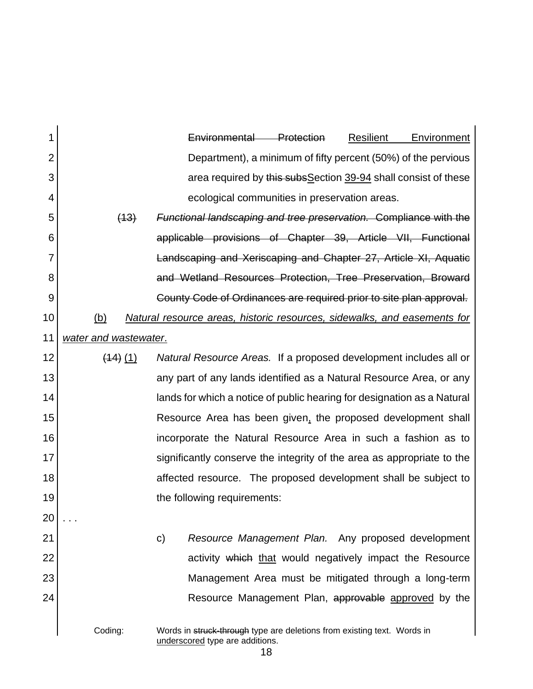| 1              |                                                                 | Environmental<br>Protection<br><b>Resilient</b><br>Environment                                             |  |  |  |  |  |  |
|----------------|-----------------------------------------------------------------|------------------------------------------------------------------------------------------------------------|--|--|--|--|--|--|
| $\overline{2}$ | Department), a minimum of fifty percent (50%) of the pervious   |                                                                                                            |  |  |  |  |  |  |
| 3              | area required by this subs Section 39-94 shall consist of these |                                                                                                            |  |  |  |  |  |  |
| 4              |                                                                 | ecological communities in preservation areas.                                                              |  |  |  |  |  |  |
| 5              | (13)                                                            | <b>Functional landscaping and tree preservation. Compliance with the</b>                                   |  |  |  |  |  |  |
| 6              |                                                                 | applicable provisions of Chapter 39, Article VII, Functional                                               |  |  |  |  |  |  |
| 7              |                                                                 | Landscaping and Xeriscaping and Chapter 27, Article XI, Aquatic                                            |  |  |  |  |  |  |
| 8              |                                                                 | and Wetland Resources Protection, Tree Preservation, Broward                                               |  |  |  |  |  |  |
| 9              |                                                                 | County Code of Ordinances are required prior to site plan approval.                                        |  |  |  |  |  |  |
| 10             | <u>(b)</u>                                                      | Natural resource areas, historic resources, sidewalks, and easements for                                   |  |  |  |  |  |  |
| 11             | water and wastewater.                                           |                                                                                                            |  |  |  |  |  |  |
| 12             | $(14)$ $(1)$                                                    | Natural Resource Areas. If a proposed development includes all or                                          |  |  |  |  |  |  |
| 13             |                                                                 | any part of any lands identified as a Natural Resource Area, or any                                        |  |  |  |  |  |  |
| 14             |                                                                 | lands for which a notice of public hearing for designation as a Natural                                    |  |  |  |  |  |  |
| 15             |                                                                 | Resource Area has been given, the proposed development shall                                               |  |  |  |  |  |  |
| 16             |                                                                 | incorporate the Natural Resource Area in such a fashion as to                                              |  |  |  |  |  |  |
| 17             |                                                                 | significantly conserve the integrity of the area as appropriate to the                                     |  |  |  |  |  |  |
| 18             |                                                                 | affected resource. The proposed development shall be subject to                                            |  |  |  |  |  |  |
| 19             |                                                                 | the following requirements:                                                                                |  |  |  |  |  |  |
| 20             |                                                                 |                                                                                                            |  |  |  |  |  |  |
| 21             |                                                                 | Resource Management Plan. Any proposed development<br>$\mathsf{C}$                                         |  |  |  |  |  |  |
| 22             |                                                                 | activity which that would negatively impact the Resource                                                   |  |  |  |  |  |  |
| 23             |                                                                 | Management Area must be mitigated through a long-term                                                      |  |  |  |  |  |  |
| 24             |                                                                 | Resource Management Plan, approvable approved by the                                                       |  |  |  |  |  |  |
|                | Coding:                                                         | Words in struck-through type are deletions from existing text. Words in<br>underscored type are additions. |  |  |  |  |  |  |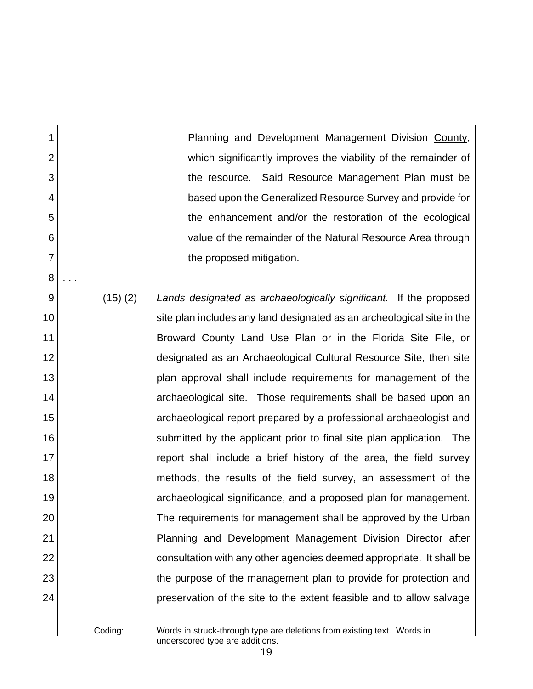Planning and Development Management Division County, which significantly improves the viability of the remainder of the resource. Said Resource Management Plan must be based upon the Generalized Resource Survey and provide for the enhancement and/or the restoration of the ecological value of the remainder of the Natural Resource Area through the proposed mitigation.

9 10 11 12 13 14 15 16 17 18 19 20 21 22 23 24 (15) (2) *Lands designated as archaeologically significant.* If the proposed site plan includes any land designated as an archeological site in the Broward County Land Use Plan or in the Florida Site File, or designated as an Archaeological Cultural Resource Site, then site plan approval shall include requirements for management of the archaeological site. Those requirements shall be based upon an archaeological report prepared by a professional archaeologist and submitted by the applicant prior to final site plan application. The report shall include a brief history of the area, the field survey methods, the results of the field survey, an assessment of the archaeological significance, and a proposed plan for management. The requirements for management shall be approved by the Urban Planning and Development Management Division Director after consultation with any other agencies deemed appropriate. It shall be the purpose of the management plan to provide for protection and preservation of the site to the extent feasible and to allow salvage

1

2

3

4

5

6

7

8

. . .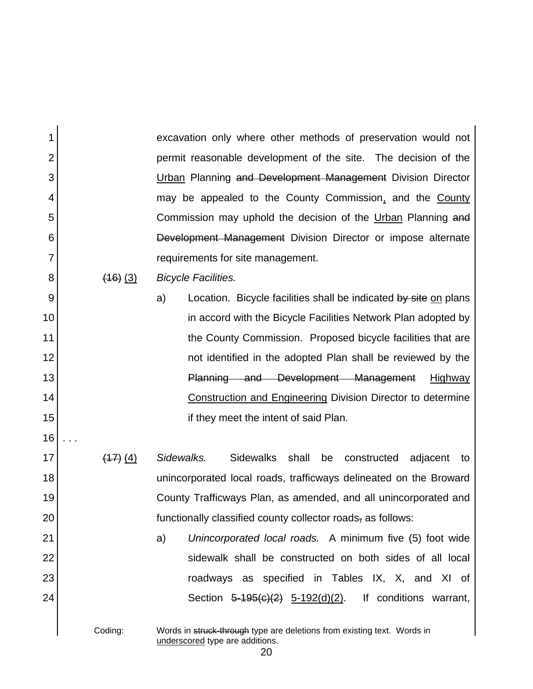excavation only where other methods of preservation would not permit reasonable development of the site. The decision of the Urban Planning and Development Management Division Director may be appealed to the County Commission, and the County Commission may uphold the decision of the Urban Planning and Development Management Division Director or impose alternate requirements for site management.

(16) (3) *Bicycle Facilities.*

1

2

3

4

5

6

7

8

9

10

11

12

13

14

15

16

. . .

21

22

23

24

a) Location. Bicycle facilities shall be indicated by site on plans in accord with the Bicycle Facilities Network Plan adopted by the County Commission. Proposed bicycle facilities that are not identified in the adopted Plan shall be reviewed by the Planning and Development Management Highway Construction and Engineering Division Director to determine if they meet the intent of said Plan.

17 18 19 20 (17) (4) *Sidewalks.* Sidewalks shall be constructed adjacent to unincorporated local roads, trafficways delineated on the Broward County Trafficways Plan, as amended, and all unincorporated and functionally classified county collector roads, as follows:

> a) *Unincorporated local roads.* A minimum five (5) foot wide sidewalk shall be constructed on both sides of all local roadways as specified in Tables IX, X, and XI of Section  $5-195(c)(2)$   $5-192(d)(2)$ . If conditions warrant,

Coding: Words in struck-through type are deletions from existing text. Words in underscored type are additions.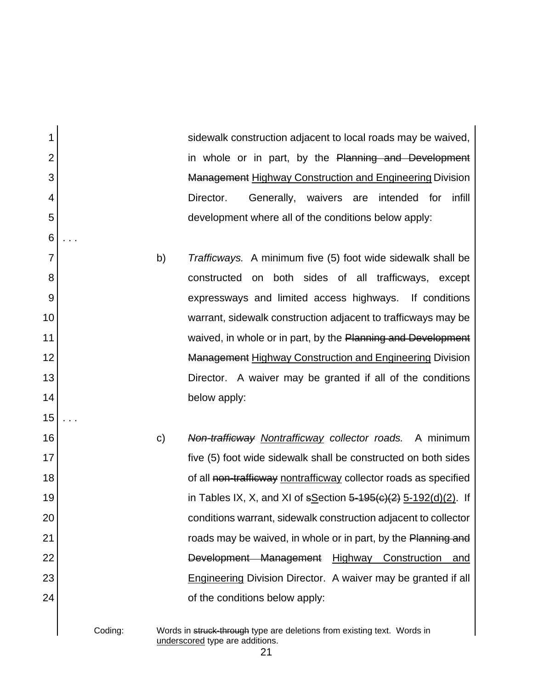sidewalk construction adjacent to local roads may be waived, in whole or in part, by the Planning and Development Management Highway Construction and Engineering Division Director. Generally, waivers are intended for infill development where all of the conditions below apply:

- b) *Trafficways.* A minimum five (5) foot wide sidewalk shall be constructed on both sides of all trafficways, except expressways and limited access highways. If conditions warrant, sidewalk construction adjacent to trafficways may be waived, in whole or in part, by the Planning and Development Management Highway Construction and Engineering Division Director. A waiver may be granted if all of the conditions below apply:
- c) *Non-trafficway Nontrafficway collector roads.* A minimum five (5) foot wide sidewalk shall be constructed on both sides of all non-trafficway nontrafficway collector roads as specified in Tables IX, X, and XI of  $s\text{Section } 5\text{-}195(c)(2)$  5-192(d)(2). If conditions warrant, sidewalk construction adjacent to collector roads may be waived, in whole or in part, by the Planning and Development Management Highway Construction and Engineering Division Director. A waiver may be granted if all of the conditions below apply:

1

2

3

4

5

6

. . .

7

8

9

10

11

12

13

14

15

. . .

16

17

18

19

20

21

22

23

24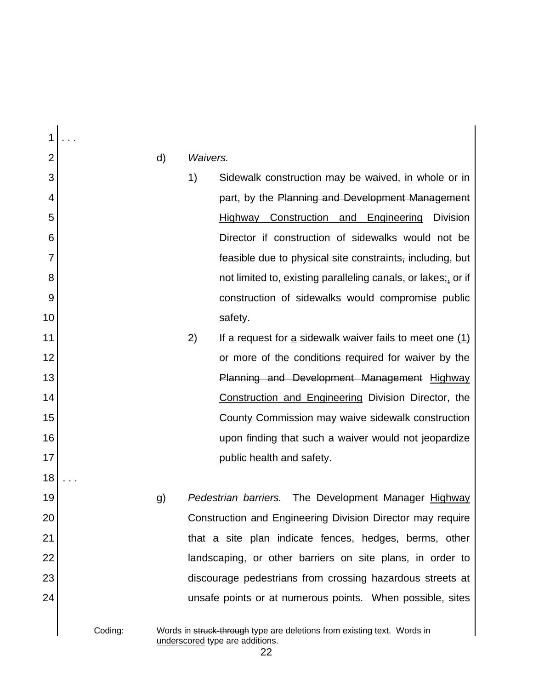1 2 3 4 5 6 7 8 9 10 11 12 13 14 15 16 17 18 19 20 21 22 23 24 . . . d) *Waivers.* 1) Sidewalk construction may be waived, in whole or in part, by the Planning and Development Management Highway Construction and Engineering Division Director if construction of sidewalks would not be feasible due to physical site constraints, including, but not limited to, existing paralleling canals, or lakes; or if construction of sidewalks would compromise public safety. 2) If a request for a sidewalk waiver fails to meet one (1) or more of the conditions required for waiver by the Planning and Development Management Highway Construction and Engineering Division Director, the County Commission may waive sidewalk construction upon finding that such a waiver would not jeopardize public health and safety. . . . g) *Pedestrian barriers.* The Development Manager Highway Construction and Engineering Division Director may require that a site plan indicate fences, hedges, berms, other landscaping, or other barriers on site plans, in order to discourage pedestrians from crossing hazardous streets at unsafe points or at numerous points. When possible, sites

Coding: Words in struck-through type are deletions from existing text. Words in underscored type are additions.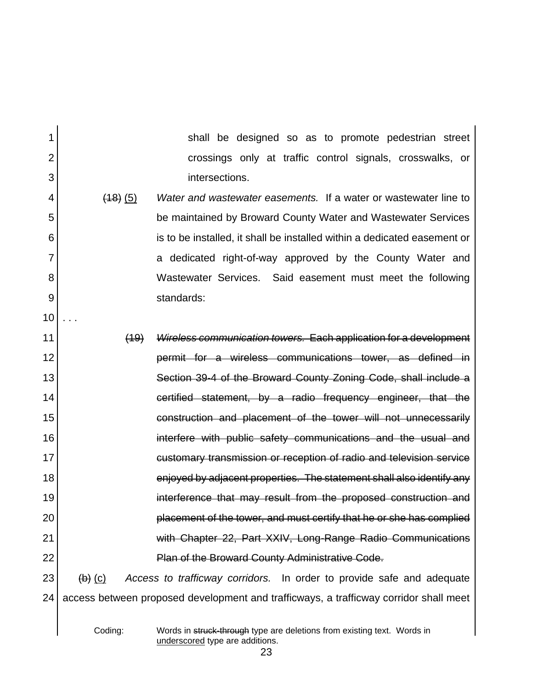| 1              |                               | shall be designed so as to promote pedestrian street                                  |
|----------------|-------------------------------|---------------------------------------------------------------------------------------|
| $\overline{2}$ |                               | crossings only at traffic control signals, crosswalks, or                             |
| 3              |                               | intersections.                                                                        |
| 4              | (18)(5)                       | Water and wastewater easements. If a water or wastewater line to                      |
| 5              |                               | be maintained by Broward County Water and Wastewater Services                         |
| 6              |                               | is to be installed, it shall be installed within a dedicated easement or              |
| 7              |                               | a dedicated right-of-way approved by the County Water and                             |
| 8              |                               | Wastewater Services. Said easement must meet the following                            |
| 9              |                               | standards:                                                                            |
| 10             |                               |                                                                                       |
| 11             | (19)                          | Wireless communication towers. Each application for a development                     |
| 12             |                               | permit for a wireless communications tower, as defined in                             |
| 13             |                               | Section 39-4 of the Broward County Zoning Code, shall include a                       |
| 14             |                               | certified statement, by a radio frequency engineer, that the                          |
| 15             |                               | construction and placement of the tower will not unnecessarily                        |
| 16             |                               | interfere with public safety communications and the usual and                         |
| 17             |                               | customary transmission or reception of radio and television service                   |
| 18             |                               | enjoyed by adjacent properties. The statement shall also identify any                 |
| 19             |                               | interference that may result from the proposed construction and                       |
| 20             |                               | placement of the tower, and must certify that he or she has complied                  |
| 21             |                               | with Chapter 22, Part XXIV, Long-Range Radio Communications                           |
| 22             |                               | <b>Plan of the Broward County Administrative Code.</b>                                |
| 23             | $\left(\mathsf{b}\right)$ (c) | Access to trafficway corridors. In order to provide safe and adequate                 |
| 24             |                               | access between proposed development and trafficways, a trafficway corridor shall meet |
|                |                               |                                                                                       |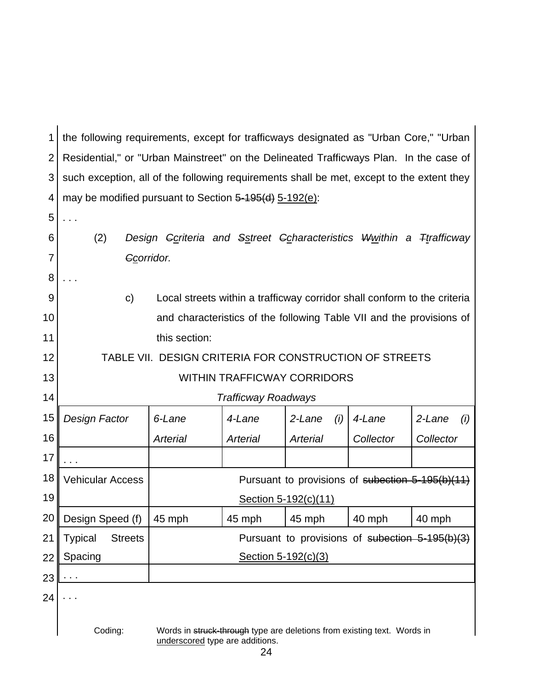| 1              | the following requirements, except for trafficways designated as "Urban Core," "Urban"                                |                                                                               |                                                                          |                      |                                                  |               |  |
|----------------|-----------------------------------------------------------------------------------------------------------------------|-------------------------------------------------------------------------------|--------------------------------------------------------------------------|----------------------|--------------------------------------------------|---------------|--|
| $\overline{2}$ | Residential," or "Urban Mainstreet" on the Delineated Trafficways Plan. In the case of                                |                                                                               |                                                                          |                      |                                                  |               |  |
| 3              | such exception, all of the following requirements shall be met, except to the extent they                             |                                                                               |                                                                          |                      |                                                  |               |  |
| 4              | may be modified pursuant to Section 5-195(d) 5-192(e):                                                                |                                                                               |                                                                          |                      |                                                  |               |  |
| 5              |                                                                                                                       |                                                                               |                                                                          |                      |                                                  |               |  |
| 6              | (2)                                                                                                                   | Design <del>Conteria and Sstreet Coharacteristics Wwithin a Ttrafficway</del> |                                                                          |                      |                                                  |               |  |
| 7              | Ccorridor.                                                                                                            |                                                                               |                                                                          |                      |                                                  |               |  |
| 8              |                                                                                                                       |                                                                               |                                                                          |                      |                                                  |               |  |
| 9              | $\mathsf{C}$                                                                                                          |                                                                               | Local streets within a trafficway corridor shall conform to the criteria |                      |                                                  |               |  |
| 10             |                                                                                                                       |                                                                               | and characteristics of the following Table VII and the provisions of     |                      |                                                  |               |  |
| 11             | this section:                                                                                                         |                                                                               |                                                                          |                      |                                                  |               |  |
| 12             |                                                                                                                       | TABLE VII. DESIGN CRITERIA FOR CONSTRUCTION OF STREETS                        |                                                                          |                      |                                                  |               |  |
| 13             | <b>WITHIN TRAFFICWAY CORRIDORS</b>                                                                                    |                                                                               |                                                                          |                      |                                                  |               |  |
| 14             |                                                                                                                       |                                                                               | <b>Trafficway Roadways</b>                                               |                      |                                                  |               |  |
| 15             | Design Factor                                                                                                         | 6-Lane                                                                        | 4-Lane                                                                   | 2-Lane<br>(i)        | 4-Lane                                           | 2-Lane<br>(i) |  |
| 16             |                                                                                                                       | Arterial                                                                      | <b>Arterial</b>                                                          | Arterial             | Collector                                        | Collector     |  |
| 17             |                                                                                                                       |                                                                               |                                                                          |                      |                                                  |               |  |
| 18             | <b>Vehicular Access</b>                                                                                               |                                                                               |                                                                          |                      | Pursuant to provisions of subection 5-195(b)(11) |               |  |
| 19             |                                                                                                                       |                                                                               |                                                                          | Section 5-192(c)(11) |                                                  |               |  |
| 20             | Design Speed (f)                                                                                                      | 45 mph                                                                        | 45 mph                                                                   | 45 mph               | 40 mph                                           | 40 mph        |  |
| 21             | <b>Typical</b><br><b>Streets</b>                                                                                      |                                                                               |                                                                          |                      | Pursuant to provisions of subection 5-195(b)(3)  |               |  |
| 22             | Spacing                                                                                                               | Section 5-192(c)(3)                                                           |                                                                          |                      |                                                  |               |  |
| 23             | $\cdots$                                                                                                              |                                                                               |                                                                          |                      |                                                  |               |  |
| 24             |                                                                                                                       |                                                                               |                                                                          |                      |                                                  |               |  |
|                |                                                                                                                       |                                                                               |                                                                          |                      |                                                  |               |  |
|                | Coding:<br>Words in struck-through type are deletions from existing text. Words in<br>underscored type are additions. |                                                                               |                                                                          |                      |                                                  |               |  |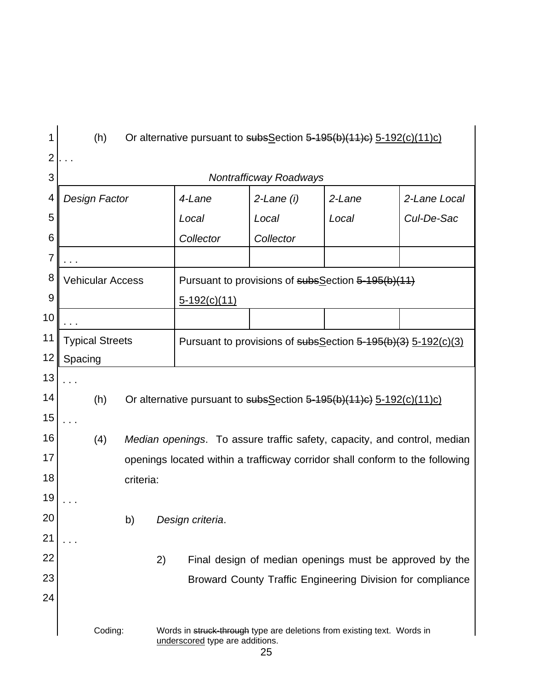| 1              | (h)<br>Or alternative pursuant to subsSection 5-195(b)(11)c) 5-192(c)(11)c)                                           |                         |           |                                                                              |                                                               |        |              |  |  |
|----------------|-----------------------------------------------------------------------------------------------------------------------|-------------------------|-----------|------------------------------------------------------------------------------|---------------------------------------------------------------|--------|--------------|--|--|
| $\mathbf 2$    |                                                                                                                       |                         |           |                                                                              |                                                               |        |              |  |  |
| 3              |                                                                                                                       |                         |           |                                                                              | <b>Nontrafficway Roadways</b>                                 |        |              |  |  |
| 4              |                                                                                                                       | Design Factor           |           | 4-Lane                                                                       | $2$ -Lane $(i)$                                               | 2-Lane | 2-Lane Local |  |  |
| 5              |                                                                                                                       |                         |           | Local                                                                        | Local                                                         | Local  | Cul-De-Sac   |  |  |
| 6              |                                                                                                                       |                         |           | Collector                                                                    | Collector                                                     |        |              |  |  |
| $\overline{7}$ |                                                                                                                       |                         |           |                                                                              |                                                               |        |              |  |  |
| 8              |                                                                                                                       | <b>Vehicular Access</b> |           |                                                                              | Pursuant to provisions of subsSection 5-195(b)(11)            |        |              |  |  |
| 9              |                                                                                                                       |                         |           | $5-192(c)(11)$                                                               |                                                               |        |              |  |  |
| 10             |                                                                                                                       |                         |           |                                                                              |                                                               |        |              |  |  |
| 11             |                                                                                                                       | <b>Typical Streets</b>  |           |                                                                              | Pursuant to provisions of subsSection 5-195(b)(3) 5-192(c)(3) |        |              |  |  |
| 12             | Spacing                                                                                                               |                         |           |                                                                              |                                                               |        |              |  |  |
| 13             |                                                                                                                       |                         |           |                                                                              |                                                               |        |              |  |  |
| 14             |                                                                                                                       | (h)                     |           | Or alternative pursuant to subsSection 5-195(b)(11)c) 5-192(c)(11)c)         |                                                               |        |              |  |  |
| 15             |                                                                                                                       |                         |           |                                                                              |                                                               |        |              |  |  |
| 16             |                                                                                                                       | (4)                     |           | Median openings. To assure traffic safety, capacity, and control, median     |                                                               |        |              |  |  |
| 17             |                                                                                                                       |                         |           | openings located within a trafficway corridor shall conform to the following |                                                               |        |              |  |  |
| 18             |                                                                                                                       |                         | criteria: |                                                                              |                                                               |        |              |  |  |
| 19             |                                                                                                                       |                         |           |                                                                              |                                                               |        |              |  |  |
| 20             |                                                                                                                       |                         | b)        | Design criteria.                                                             |                                                               |        |              |  |  |
| 21             |                                                                                                                       |                         |           |                                                                              |                                                               |        |              |  |  |
| 22             |                                                                                                                       |                         | 2)        |                                                                              | Final design of median openings must be approved by the       |        |              |  |  |
| 23             |                                                                                                                       |                         |           |                                                                              | Broward County Traffic Engineering Division for compliance    |        |              |  |  |
| 24             |                                                                                                                       |                         |           |                                                                              |                                                               |        |              |  |  |
|                | Coding:<br>Words in struck-through type are deletions from existing text. Words in<br>underscored type are additions. |                         |           |                                                                              |                                                               |        |              |  |  |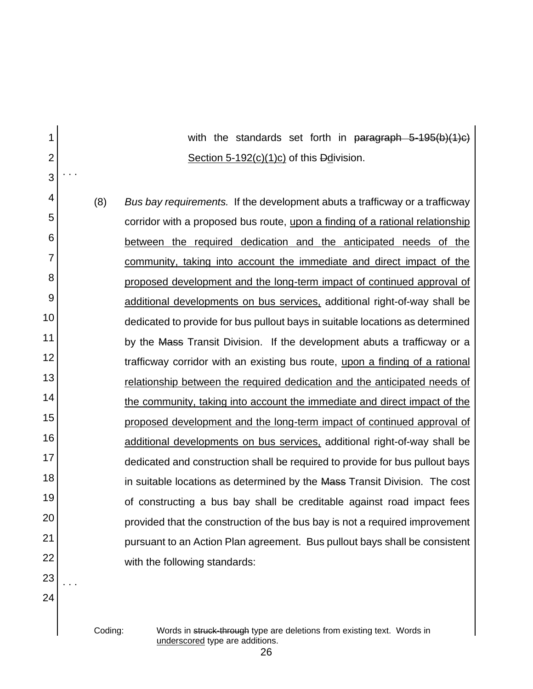with the standards set forth in paragraph 5-195(b)(1)c) Section 5-192(c)(1)c) of this Ddivision.

4 5 6 7 8 9 10 11 12 13 14 15 16 17 18 19 20 21 22 (8) *Bus bay requirements.* If the development abuts a trafficway or a trafficway corridor with a proposed bus route, upon a finding of a rational relationship between the required dedication and the anticipated needs of the community, taking into account the immediate and direct impact of the proposed development and the long-term impact of continued approval of additional developments on bus services, additional right-of-way shall be dedicated to provide for bus pullout bays in suitable locations as determined by the Mass Transit Division. If the development abuts a trafficway or a trafficway corridor with an existing bus route, upon a finding of a rational relationship between the required dedication and the anticipated needs of the community, taking into account the immediate and direct impact of the proposed development and the long-term impact of continued approval of additional developments on bus services, additional right-of-way shall be dedicated and construction shall be required to provide for bus pullout bays in suitable locations as determined by the Mass Transit Division. The cost of constructing a bus bay shall be creditable against road impact fees provided that the construction of the bus bay is not a required improvement pursuant to an Action Plan agreement. Bus pullout bays shall be consistent with the following standards:

23

. . .

24

1

2

3

. . .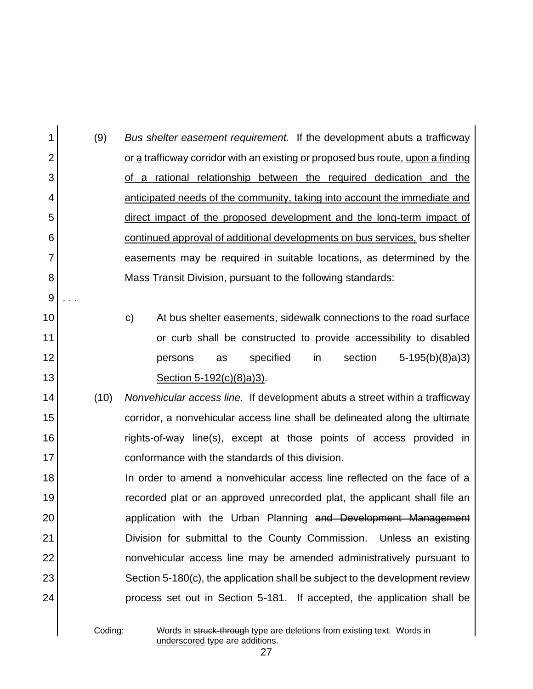1 2 3 4 5 6 7 8 9 10 11 12 13 14 15 16 17 18 19 20 21 22 23 24 (9) *Bus shelter easement requirement.* If the development abuts a trafficway or a trafficway corridor with an existing or proposed bus route, upon a finding of a rational relationship between the required dedication and the anticipated needs of the community, taking into account the immediate and direct impact of the proposed development and the long-term impact of continued approval of additional developments on bus services, bus shelter easements may be required in suitable locations, as determined by the Mass Transit Division, pursuant to the following standards: . . . c) At bus shelter easements, sidewalk connections to the road surface or curb shall be constructed to provide accessibility to disabled persons as specified in section 5-195(b)(8)a)3) Section 5-192(c)(8)a)3). (10) *Nonvehicular access line.* If development abuts a street within a trafficway corridor, a nonvehicular access line shall be delineated along the ultimate rights-of-way line(s), except at those points of access provided in conformance with the standards of this division. In order to amend a nonvehicular access line reflected on the face of a recorded plat or an approved unrecorded plat, the applicant shall file an application with the Urban Planning and Development Management Division for submittal to the County Commission. Unless an existing nonvehicular access line may be amended administratively pursuant to Section 5-180(c), the application shall be subject to the development review process set out in Section 5-181. If accepted, the application shall be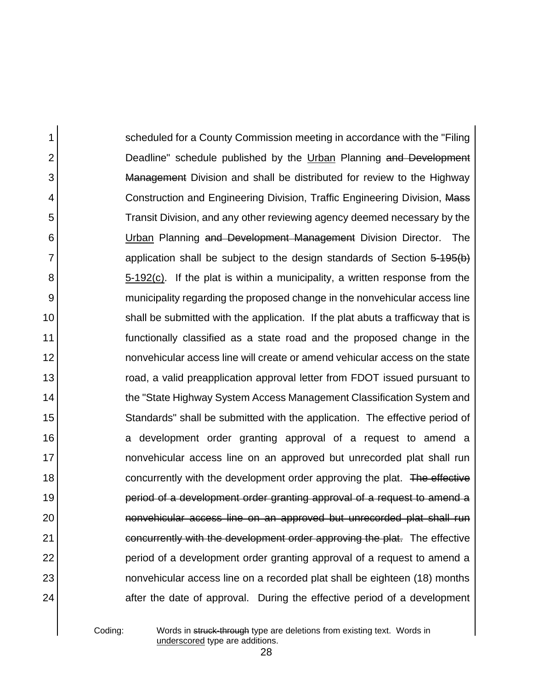1 2 3 4 5 6 7 8 9 10 11 12 13 14 15 16 17 18 19 20 21 22 23 24 scheduled for a County Commission meeting in accordance with the "Filing Deadline" schedule published by the Urban Planning and Development Management Division and shall be distributed for review to the Highway Construction and Engineering Division, Traffic Engineering Division, Mass Transit Division, and any other reviewing agency deemed necessary by the Urban Planning and Development Management Division Director. The application shall be subject to the design standards of Section 5-195(b) 5-192(c). If the plat is within a municipality, a written response from the municipality regarding the proposed change in the nonvehicular access line shall be submitted with the application. If the plat abuts a trafficway that is functionally classified as a state road and the proposed change in the nonvehicular access line will create or amend vehicular access on the state road, a valid preapplication approval letter from FDOT issued pursuant to the "State Highway System Access Management Classification System and Standards" shall be submitted with the application. The effective period of a development order granting approval of a request to amend a nonvehicular access line on an approved but unrecorded plat shall run concurrently with the development order approving the plat. The effective period of a development order granting approval of a request to amend a nonvehicular access line on an approved but unrecorded plat shall run concurrently with the development order approving the plat. The effective period of a development order granting approval of a request to amend a nonvehicular access line on a recorded plat shall be eighteen (18) months after the date of approval. During the effective period of a development

Coding: Words in struck-through type are deletions from existing text. Words in underscored type are additions.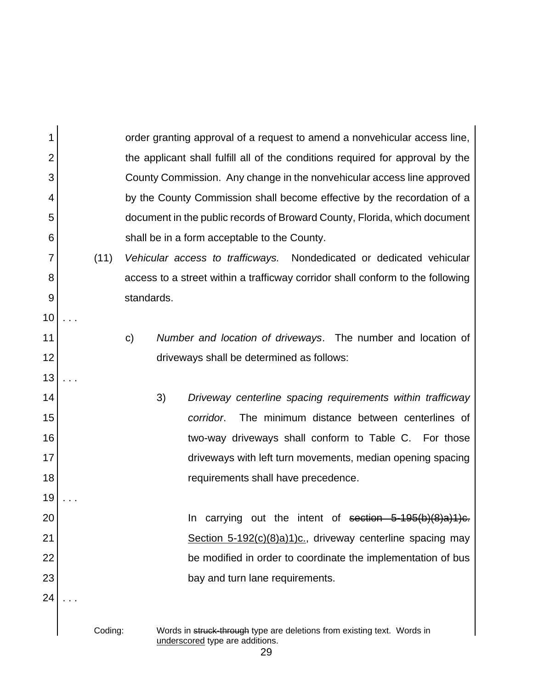1 2 3 4 5 6 7 8 9 10 11 12 13 14 15 16 17 18 19 20 21 22 23 24 Coding: Words in struck-through type are deletions from existing text. Words in underscored type are additions. order granting approval of a request to amend a nonvehicular access line, the applicant shall fulfill all of the conditions required for approval by the County Commission. Any change in the nonvehicular access line approved by the County Commission shall become effective by the recordation of a document in the public records of Broward County, Florida, which document shall be in a form acceptable to the County. (11) *Vehicular access to trafficways.* Nondedicated or dedicated vehicular access to a street within a trafficway corridor shall conform to the following standards. . . . c) *Number and location of driveways*. The number and location of driveways shall be determined as follows: . . . 3) *Driveway centerline spacing requirements within trafficway corridor*. The minimum distance between centerlines of two-way driveways shall conform to Table C. For those driveways with left turn movements, median opening spacing requirements shall have precedence. . . . In carrying out the intent of section  $5-195(b)(8)a$ )1)c. Section 5-192(c)(8)a)1)c., driveway centerline spacing may be modified in order to coordinate the implementation of bus bay and turn lane requirements. . . .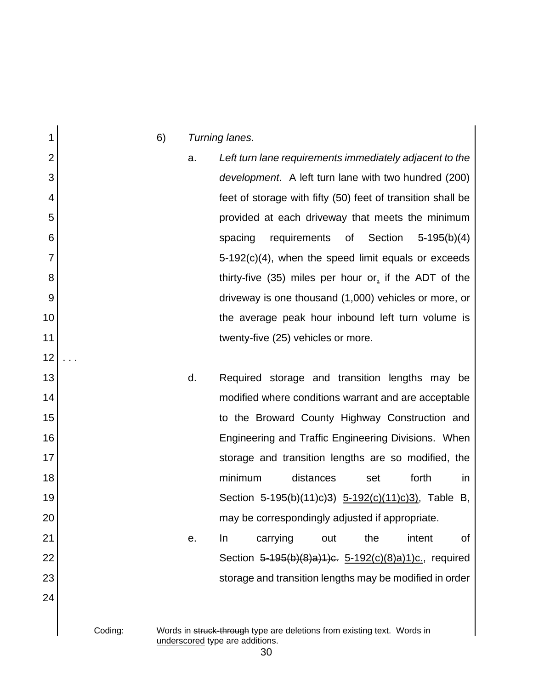1 2 3 4 5 6 7 8 9 10 11 12 13 14 15 16 17 18 19 20 21 22 23 24 6) *Turning lanes.* a. *Left turn lane requirements immediately adjacent to the development*. A left turn lane with two hundred (200) feet of storage with fifty (50) feet of transition shall be provided at each driveway that meets the minimum spacing requirements of Section 5-195(b)(4)  $5-192(c)(4)$ , when the speed limit equals or exceeds thirty-five (35) miles per hour  $er_i$  if the ADT of the driveway is one thousand (1,000) vehicles or more, or the average peak hour inbound left turn volume is twenty-five (25) vehicles or more. . . . d. Required storage and transition lengths may be modified where conditions warrant and are acceptable to the Broward County Highway Construction and Engineering and Traffic Engineering Divisions. When storage and transition lengths are so modified, the minimum distances set forth in Section 5-195(b)(11)c)3) 5-192(c)(11)c)3), Table B, may be correspondingly adjusted if appropriate. e. In carrying out the intent of Section 5-195(b)(8)a)1)c. 5-192(c)(8)a)1)c., required storage and transition lengths may be modified in order

### Coding: Words in struck-through type are deletions from existing text. Words in underscored type are additions.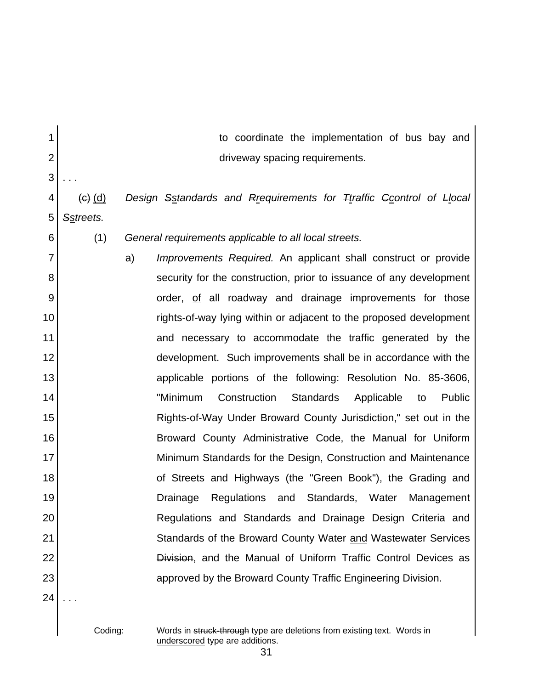| 1              |             | to coordinate the implementation of bus bay and                      |
|----------------|-------------|----------------------------------------------------------------------|
| $\overline{2}$ |             | driveway spacing requirements.                                       |
| 3              |             |                                                                      |
| 4              | $(e)$ $(d)$ | Design Sstandards and Rrequirements for Ttraffic Gcontrol of Llocal  |
| 5              | Sstreets.   |                                                                      |
| 6              | (1)         | General requirements applicable to all local streets.                |
| $\overline{7}$ |             | Improvements Required. An applicant shall construct or provide<br>a) |
| 8              |             | security for the construction, prior to issuance of any development  |
| 9              |             | order, of all roadway and drainage improvements for those            |
| 10             |             | rights-of-way lying within or adjacent to the proposed development   |
| 11             |             | and necessary to accommodate the traffic generated by the            |
| 12             |             | development. Such improvements shall be in accordance with the       |
| 13             |             | applicable portions of the following: Resolution No. 85-3606,        |
| 14             |             | "Minimum<br>Construction<br>Standards<br>Applicable<br>Public<br>to  |
| 15             |             | Rights-of-Way Under Broward County Jurisdiction," set out in the     |
| 16             |             | Broward County Administrative Code, the Manual for Uniform           |
| 17             |             | Minimum Standards for the Design, Construction and Maintenance       |
| 18             |             | of Streets and Highways (the "Green Book"), the Grading and          |
| 19             |             | Standards,<br>Drainage<br>Regulations<br>and<br>Water<br>Management  |
| 20             |             | Regulations and Standards and Drainage Design Criteria and           |
| 21             |             | Standards of the Broward County Water and Wastewater Services        |
| 22             |             | Division, and the Manual of Uniform Traffic Control Devices as       |
| 23             |             | approved by the Broward County Traffic Engineering Division.         |
| 24             |             |                                                                      |

Coding: Words in struck-through type are deletions from existing text. Words in underscored type are additions.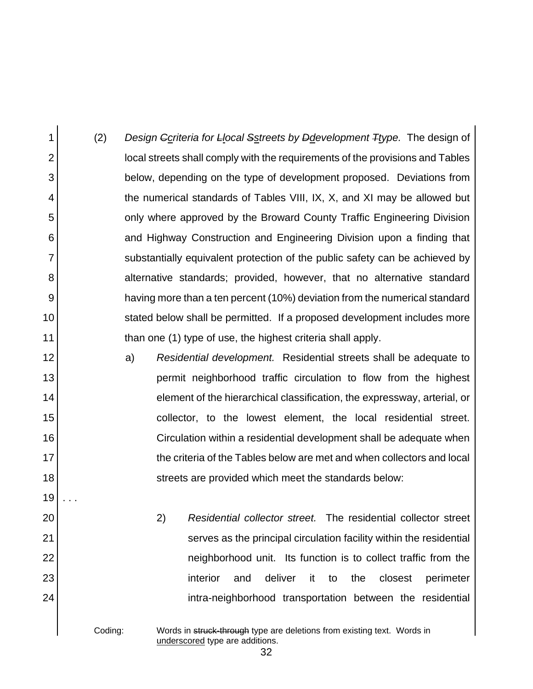1 2 3 4 5 6 7 8 9 10 11 (2) *Design Ccriteria for Llocal Sstreets by Ddevelopment Ttype.* The design of local streets shall comply with the requirements of the provisions and Tables below, depending on the type of development proposed. Deviations from the numerical standards of Tables VIII, IX, X, and XI may be allowed but only where approved by the Broward County Traffic Engineering Division and Highway Construction and Engineering Division upon a finding that substantially equivalent protection of the public safety can be achieved by alternative standards; provided, however, that no alternative standard having more than a ten percent (10%) deviation from the numerical standard stated below shall be permitted. If a proposed development includes more than one (1) type of use, the highest criteria shall apply.

> a) *Residential development.* Residential streets shall be adequate to permit neighborhood traffic circulation to flow from the highest element of the hierarchical classification, the expressway, arterial, or collector, to the lowest element, the local residential street. Circulation within a residential development shall be adequate when the criteria of the Tables below are met and when collectors and local streets are provided which meet the standards below:

> > 2) *Residential collector street.* The residential collector street serves as the principal circulation facility within the residential neighborhood unit. Its function is to collect traffic from the interior and deliver it to the closest perimeter intra-neighborhood transportation between the residential

12

13

14

15

16

17

18

19

. . .

20

21

22

23

24

Coding: Words in struck-through type are deletions from existing text. Words in underscored type are additions.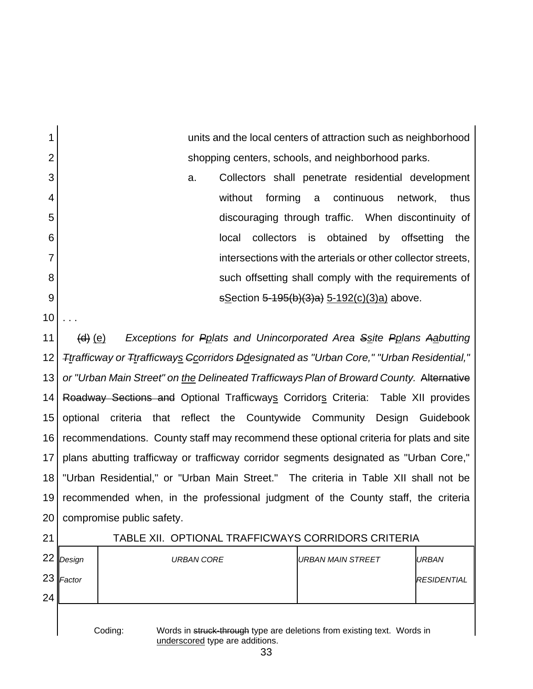| 1              | units and the local centers of attraction such as neighborhood                                                        |                                                                                        |                                         |                                             |  |            |              |                          |            |    |                                                              |      |
|----------------|-----------------------------------------------------------------------------------------------------------------------|----------------------------------------------------------------------------------------|-----------------------------------------|---------------------------------------------|--|------------|--------------|--------------------------|------------|----|--------------------------------------------------------------|------|
| $\overline{2}$ | shopping centers, schools, and neighborhood parks.                                                                    |                                                                                        |                                         |                                             |  |            |              |                          |            |    |                                                              |      |
| 3              | Collectors shall penetrate residential development<br>a.                                                              |                                                                                        |                                         |                                             |  |            |              |                          |            |    |                                                              |      |
| 4              |                                                                                                                       |                                                                                        |                                         | without                                     |  | forming    | $\mathsf{a}$ |                          | continuous |    | network,                                                     | thus |
| 5              |                                                                                                                       |                                                                                        |                                         |                                             |  |            |              |                          |            |    | discouraging through traffic. When discontinuity of          |      |
| 6              |                                                                                                                       |                                                                                        |                                         | local                                       |  | collectors | is           | obtained                 |            | by | offsetting                                                   | the  |
| 7              |                                                                                                                       |                                                                                        |                                         |                                             |  |            |              |                          |            |    | intersections with the arterials or other collector streets, |      |
| 8              |                                                                                                                       |                                                                                        |                                         |                                             |  |            |              |                          |            |    | such offsetting shall comply with the requirements of        |      |
| 9              |                                                                                                                       |                                                                                        |                                         | sSection 5-195(b)(3)a) 5-192(c)(3)a) above. |  |            |              |                          |            |    |                                                              |      |
| 10             |                                                                                                                       |                                                                                        |                                         |                                             |  |            |              |                          |            |    |                                                              |      |
| 11             | <del>(d)</del> (e)                                                                                                    | Exceptions for Pplats and Unincorporated Area Ssite Pplans Aabutting                   |                                         |                                             |  |            |              |                          |            |    |                                                              |      |
| 12             | Firafficway or Ttrafficways Gcorridors Ddesignated as "Urban Core," "Urban Residential,"                              |                                                                                        |                                         |                                             |  |            |              |                          |            |    |                                                              |      |
| 13             | or "Urban Main Street" on the Delineated Trafficways Plan of Broward County. Alternative                              |                                                                                        |                                         |                                             |  |            |              |                          |            |    |                                                              |      |
| 14             |                                                                                                                       | Roadway Sections and Optional Trafficways Corridors Criteria: Table XII provides       |                                         |                                             |  |            |              |                          |            |    |                                                              |      |
| 15             | optional                                                                                                              | criteria<br>that                                                                       | reflect the Countywide Community Design |                                             |  |            |              |                          |            |    | Guidebook                                                    |      |
| 16             |                                                                                                                       | recommendations. County staff may recommend these optional criteria for plats and site |                                         |                                             |  |            |              |                          |            |    |                                                              |      |
| 17             |                                                                                                                       | plans abutting trafficway or trafficway corridor segments designated as "Urban Core,"  |                                         |                                             |  |            |              |                          |            |    |                                                              |      |
| 18             |                                                                                                                       | "Urban Residential," or "Urban Main Street." The criteria in Table XII shall not be    |                                         |                                             |  |            |              |                          |            |    |                                                              |      |
| 19             |                                                                                                                       | recommended when, in the professional judgment of the County staff, the criteria       |                                         |                                             |  |            |              |                          |            |    |                                                              |      |
| 20             |                                                                                                                       | compromise public safety.                                                              |                                         |                                             |  |            |              |                          |            |    |                                                              |      |
| 21             |                                                                                                                       | TABLE XII. OPTIONAL TRAFFICWAYS CORRIDORS CRITERIA                                     |                                         |                                             |  |            |              |                          |            |    |                                                              |      |
| 22             | Design                                                                                                                |                                                                                        | <b>URBAN CORE</b>                       |                                             |  |            |              | <b>URBAN MAIN STREET</b> |            |    | <b>URBAN</b>                                                 |      |
| 23             | Factor                                                                                                                |                                                                                        |                                         |                                             |  |            |              |                          |            |    | <b>RESIDENTIAL</b>                                           |      |
| 24             |                                                                                                                       |                                                                                        |                                         |                                             |  |            |              |                          |            |    |                                                              |      |
|                |                                                                                                                       |                                                                                        |                                         |                                             |  |            |              |                          |            |    |                                                              |      |
|                | Coding:<br>Words in struck-through type are deletions from existing text. Words in<br>underscored type are additions. |                                                                                        |                                         |                                             |  |            |              |                          |            |    |                                                              |      |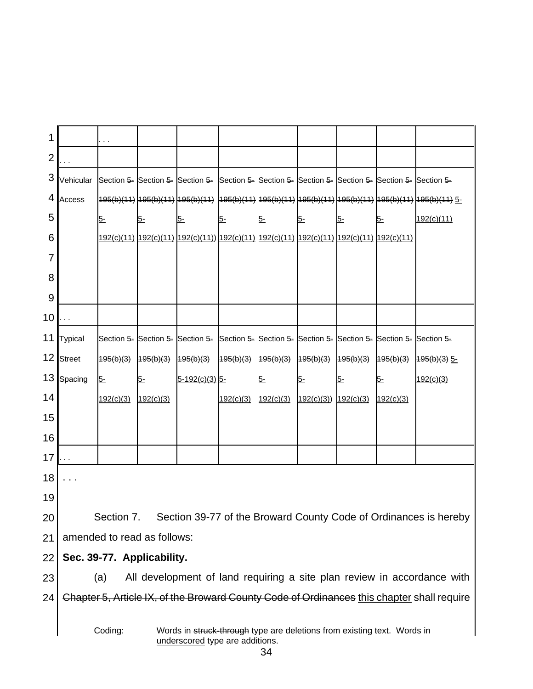| 1               |                                                                                                                             | $\ddotsc$  |                             |                                                                                                    |           |                                     |                      |      |           |                                                                                                                                    |
|-----------------|-----------------------------------------------------------------------------------------------------------------------------|------------|-----------------------------|----------------------------------------------------------------------------------------------------|-----------|-------------------------------------|----------------------|------|-----------|------------------------------------------------------------------------------------------------------------------------------------|
| $\overline{2}$  |                                                                                                                             |            |                             |                                                                                                    |           |                                     |                      |      |           |                                                                                                                                    |
| 3               | Vehicular                                                                                                                   |            |                             | Section 5- Section 5- Section 5- Section 5- Section 5- Section 5- Section 5- Section 5- Section 5- |           |                                     |                      |      |           |                                                                                                                                    |
| 4               | Access                                                                                                                      |            |                             |                                                                                                    |           |                                     |                      |      |           | <mark>195(b)(11)  195(b)(11)  195(b)(11)   195(b)(11)  195(b)(11)  195(b)(11)  195(b)(11)  195(b)(11)  195(b)(11) <u>5-</u></mark> |
| 5               |                                                                                                                             | $5-$       | $5-$                        | $5-$                                                                                               | <u>5-</u> | $5-$                                | $5-$                 | $5-$ | $5-$      | 192(c)(11)                                                                                                                         |
| 6               |                                                                                                                             |            |                             | 192(c)(11) 192(c)(11) 192(c)(11)) 192(c)(11) 192(c)(11) 192(c)(11) 192(c)(11) 192(c)(11)           |           |                                     |                      |      |           |                                                                                                                                    |
| 7               |                                                                                                                             |            |                             |                                                                                                    |           |                                     |                      |      |           |                                                                                                                                    |
| 8               |                                                                                                                             |            |                             |                                                                                                    |           |                                     |                      |      |           |                                                                                                                                    |
| 9               |                                                                                                                             |            |                             |                                                                                                    |           |                                     |                      |      |           |                                                                                                                                    |
| 10              |                                                                                                                             |            |                             |                                                                                                    |           |                                     |                      |      |           |                                                                                                                                    |
| 11              | Typical                                                                                                                     |            |                             | Section 5- Section 5- Section 5- Section 5- Section 5- Section 5- Section 5- Section 5- Section 5- |           |                                     |                      |      |           |                                                                                                                                    |
| 12              | Street                                                                                                                      | 195(b)(3)  | 495(b)(3)                   | 495(b)(3)                                                                                          | 495(b)(3) | $195(b)(3)$ $195(b)(3)$ $195(b)(3)$ |                      |      | 195(b)(3) | $495(b)(3)$ 5-                                                                                                                     |
| 13              | Spacing                                                                                                                     | $5-$       | $5-$                        | $5-192(c)(3)$ 5-                                                                                   |           | $5-$                                | $5-$                 | $5-$ | $5-$      | 192(c)(3)                                                                                                                          |
| 14              |                                                                                                                             | 192(c)(3)  | 192(c)(3)                   |                                                                                                    | 192(c)(3) | 192(c)(3)                           | 192(c)(3)) 192(c)(3) |      | 192(c)(3) |                                                                                                                                    |
| 15              |                                                                                                                             |            |                             |                                                                                                    |           |                                     |                      |      |           |                                                                                                                                    |
| 16              |                                                                                                                             |            |                             |                                                                                                    |           |                                     |                      |      |           |                                                                                                                                    |
| 17 <sub>1</sub> |                                                                                                                             |            |                             |                                                                                                    |           |                                     |                      |      |           |                                                                                                                                    |
| 18              |                                                                                                                             |            |                             |                                                                                                    |           |                                     |                      |      |           |                                                                                                                                    |
| 19              |                                                                                                                             |            |                             |                                                                                                    |           |                                     |                      |      |           |                                                                                                                                    |
| 20              |                                                                                                                             | Section 7. |                             |                                                                                                    |           |                                     |                      |      |           | Section 39-77 of the Broward County Code of Ordinances is hereby                                                                   |
| 21              |                                                                                                                             |            | amended to read as follows: |                                                                                                    |           |                                     |                      |      |           |                                                                                                                                    |
| 22              |                                                                                                                             |            | Sec. 39-77. Applicability.  |                                                                                                    |           |                                     |                      |      |           |                                                                                                                                    |
| 23              |                                                                                                                             | (a)        |                             |                                                                                                    |           |                                     |                      |      |           | All development of land requiring a site plan review in accordance with                                                            |
| 24              |                                                                                                                             |            |                             |                                                                                                    |           |                                     |                      |      |           | Chapter 5, Article IX, of the Broward County Code of Ordinances this chapter shall require                                         |
|                 |                                                                                                                             |            |                             |                                                                                                    |           |                                     |                      |      |           |                                                                                                                                    |
|                 | Coding:<br>Words in struck-through type are deletions from existing text. Words in<br>underscored type are additions.<br>34 |            |                             |                                                                                                    |           |                                     |                      |      |           |                                                                                                                                    |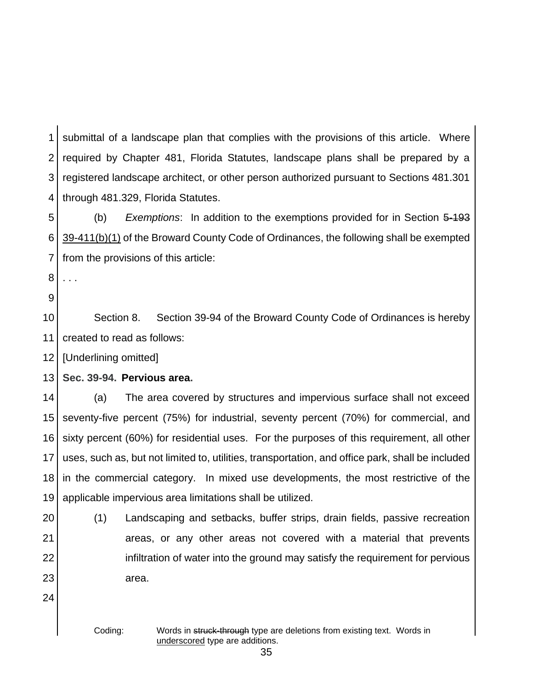1 2 3 4 submittal of a landscape plan that complies with the provisions of this article. Where required by Chapter 481, Florida Statutes, landscape plans shall be prepared by a registered landscape architect, or other person authorized pursuant to Sections 481.301 through 481.329, Florida Statutes.

5 6 7 (b) *Exemptions*: In addition to the exemptions provided for in Section 5-193 39-411(b)(1) of the Broward County Code of Ordinances, the following shall be exempted from the provisions of this article:

- 8 . . .
- 9

10 11 Section 8. Section 39-94 of the Broward County Code of Ordinances is hereby created to read as follows:

12 [Underlining omitted]

13 **Sec. 39-94.****Pervious area.**

14 15 16 17 18 19 (a) The area covered by structures and impervious surface shall not exceed seventy-five percent (75%) for industrial, seventy percent (70%) for commercial, and sixty percent (60%) for residential uses. For the purposes of this requirement, all other uses, such as, but not limited to, utilities, transportation, and office park, shall be included in the commercial category. In mixed use developments, the most restrictive of the applicable impervious area limitations shall be utilized.

20 21

22

23

(1) Landscaping and setbacks, buffer strips, drain fields, passive recreation areas, or any other areas not covered with a material that prevents infiltration of water into the ground may satisfy the requirement for pervious area.

24

Coding: Words in struck-through type are deletions from existing text. Words in underscored type are additions.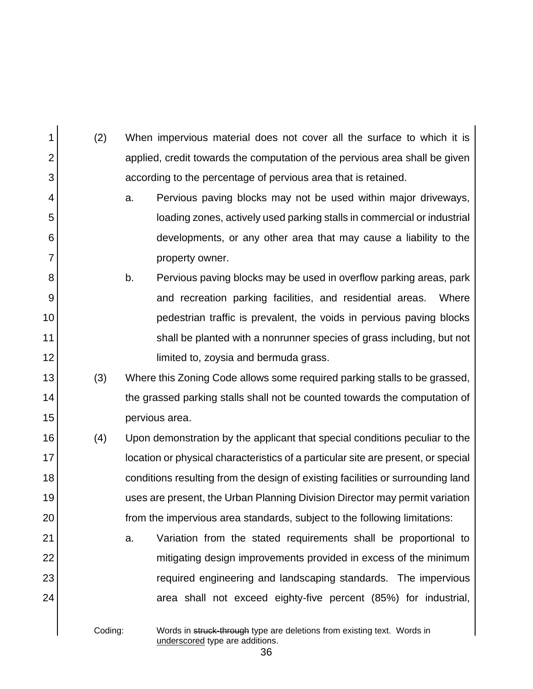| 1              | (2)     | When impervious material does not cover all the surface to which it is            |  |  |  |  |  |
|----------------|---------|-----------------------------------------------------------------------------------|--|--|--|--|--|
| $\overline{2}$ |         | applied, credit towards the computation of the pervious area shall be given       |  |  |  |  |  |
| 3              |         | according to the percentage of pervious area that is retained.                    |  |  |  |  |  |
| 4              |         | Pervious paving blocks may not be used within major driveways,<br>a.              |  |  |  |  |  |
| 5              |         | loading zones, actively used parking stalls in commercial or industrial           |  |  |  |  |  |
| 6              |         | developments, or any other area that may cause a liability to the                 |  |  |  |  |  |
| $\overline{7}$ |         | property owner.                                                                   |  |  |  |  |  |
| 8              |         | Pervious paving blocks may be used in overflow parking areas, park<br>b.          |  |  |  |  |  |
| 9              |         | and recreation parking facilities, and residential areas.<br>Where                |  |  |  |  |  |
| 10             |         | pedestrian traffic is prevalent, the voids in pervious paving blocks              |  |  |  |  |  |
| 11             |         | shall be planted with a nonrunner species of grass including, but not             |  |  |  |  |  |
| 12             |         | limited to, zoysia and bermuda grass.                                             |  |  |  |  |  |
| 13             | (3)     | Where this Zoning Code allows some required parking stalls to be grassed,         |  |  |  |  |  |
| 14             |         | the grassed parking stalls shall not be counted towards the computation of        |  |  |  |  |  |
| 15             |         | pervious area.                                                                    |  |  |  |  |  |
| 16             | (4)     | Upon demonstration by the applicant that special conditions peculiar to the       |  |  |  |  |  |
| 17             |         | location or physical characteristics of a particular site are present, or special |  |  |  |  |  |
| 18             |         | conditions resulting from the design of existing facilities or surrounding land   |  |  |  |  |  |
| 19             |         | uses are present, the Urban Planning Division Director may permit variation       |  |  |  |  |  |
| 20             |         | from the impervious area standards, subject to the following limitations:         |  |  |  |  |  |
| 21             |         | Variation from the stated requirements shall be proportional to<br>a.             |  |  |  |  |  |
| 22             |         | mitigating design improvements provided in excess of the minimum                  |  |  |  |  |  |
| 23             |         | required engineering and landscaping standards. The impervious                    |  |  |  |  |  |
| 24             |         | area shall not exceed eighty-five percent (85%) for industrial,                   |  |  |  |  |  |
|                | Coding: | Words in struck-through type are deletions from existing text. Words in           |  |  |  |  |  |

underscored type are additions.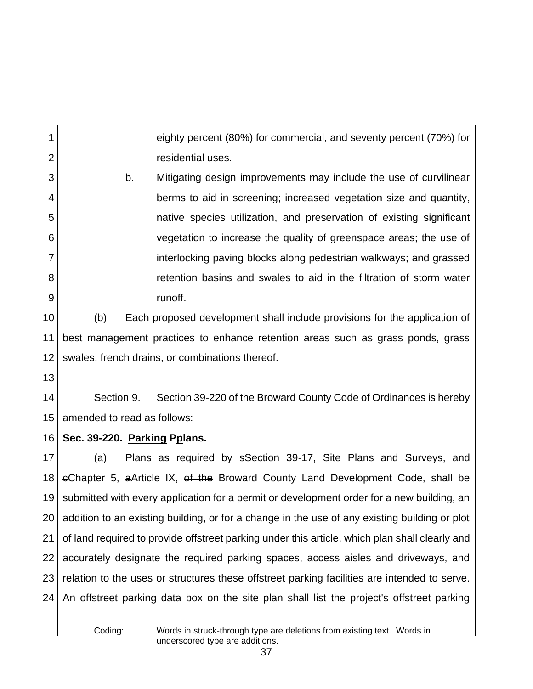eighty percent (80%) for commercial, and seventy percent (70%) for residential uses.

b. Mitigating design improvements may include the use of curvilinear berms to aid in screening; increased vegetation size and quantity, native species utilization, and preservation of existing significant vegetation to increase the quality of greenspace areas; the use of interlocking paving blocks along pedestrian walkways; and grassed retention basins and swales to aid in the filtration of storm water runoff.

10 11 12 (b) Each proposed development shall include provisions for the application of best management practices to enhance retention areas such as grass ponds, grass swales, french drains, or combinations thereof.

13

1

2

3

4

5

6

7

8

9

14 15 Section 9. Section 39-220 of the Broward County Code of Ordinances is hereby amended to read as follows:

#### 16 **Sec. 39-220. Parking Pplans.**

17 18 19 20 21 22 23  $24<sub>1</sub>$ (a) Plans as required by sSection 39-17, Site Plans and Surveys, and  $\epsilon$ Chapter 5, a Article IX, of the Broward County Land Development Code, shall be submitted with every application for a permit or development order for a new building, an addition to an existing building, or for a change in the use of any existing building or plot of land required to provide offstreet parking under this article, which plan shall clearly and accurately designate the required parking spaces, access aisles and driveways, and relation to the uses or structures these offstreet parking facilities are intended to serve. An offstreet parking data box on the site plan shall list the project's offstreet parking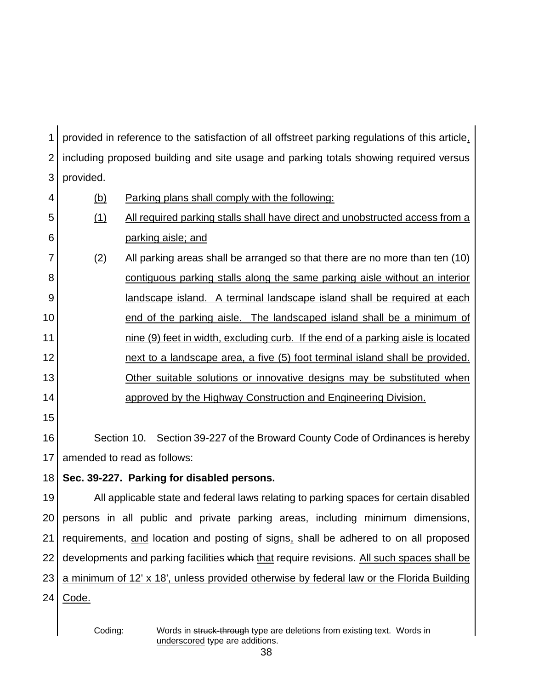1 2 3 4 5 6 7 8 9 10 11 12 13 14 15 16 17 18 19 20 21 22 23  $24<sub>1</sub>$ provided in reference to the satisfaction of all offstreet parking regulations of this article, including proposed building and site usage and parking totals showing required versus provided. (b) Parking plans shall comply with the following: (1) All required parking stalls shall have direct and unobstructed access from a parking aisle; and (2) All parking areas shall be arranged so that there are no more than ten (10) contiguous parking stalls along the same parking aisle without an interior landscape island. A terminal landscape island shall be required at each end of the parking aisle. The landscaped island shall be a minimum of nine (9) feet in width, excluding curb. If the end of a parking aisle is located next to a landscape area, a five (5) foot terminal island shall be provided. Other suitable solutions or innovative designs may be substituted when approved by the Highway Construction and Engineering Division. Section 10. Section 39-227 of the Broward County Code of Ordinances is hereby amended to read as follows: **Sec. 39-227. Parking for disabled persons.** All applicable state and federal laws relating to parking spaces for certain disabled persons in all public and private parking areas, including minimum dimensions, requirements, and location and posting of signs, shall be adhered to on all proposed developments and parking facilities which that require revisions. All such spaces shall be a minimum of 12' x 18', unless provided otherwise by federal law or the Florida Building Code.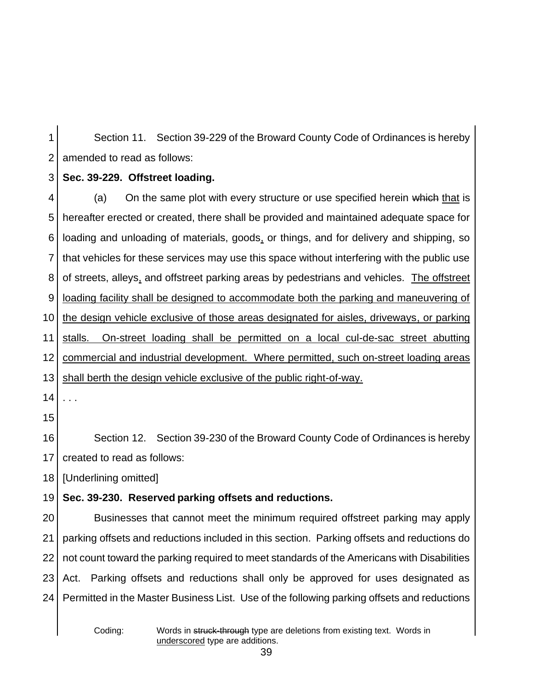1 2 Section 11. Section 39-229 of the Broward County Code of Ordinances is hereby amended to read as follows:

#### 3 **Sec. 39-229. Offstreet loading.**

4 5 6 7 8 9 10 11 12 13 14 (a) On the same plot with every structure or use specified herein which that is hereafter erected or created, there shall be provided and maintained adequate space for loading and unloading of materials, goods, or things, and for delivery and shipping, so that vehicles for these services may use this space without interfering with the public use of streets, alleys, and offstreet parking areas by pedestrians and vehicles. The offstreet loading facility shall be designed to accommodate both the parking and maneuvering of the design vehicle exclusive of those areas designated for aisles, driveways, or parking stalls. On-street loading shall be permitted on a local cul-de-sac street abutting commercial and industrial development. Where permitted, such on-street loading areas shall berth the design vehicle exclusive of the public right-of-way. . . .

15

16 17 Section 12. Section 39-230 of the Broward County Code of Ordinances is hereby created to read as follows:

18 [Underlining omitted]

#### 19 **Sec. 39-230. Reserved parking offsets and reductions.**

20 21 22 23 24 Businesses that cannot meet the minimum required offstreet parking may apply parking offsets and reductions included in this section. Parking offsets and reductions do not count toward the parking required to meet standards of the Americans with Disabilities Act. Parking offsets and reductions shall only be approved for uses designated as Permitted in the Master Business List. Use of the following parking offsets and reductions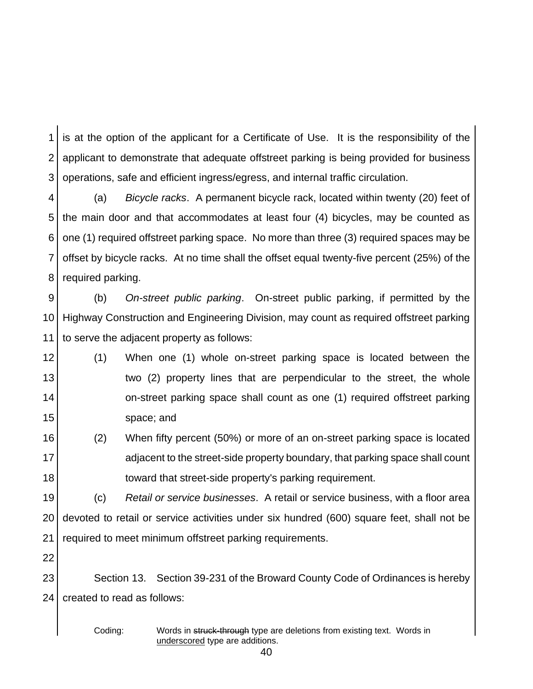1 2 3 is at the option of the applicant for a Certificate of Use. It is the responsibility of the applicant to demonstrate that adequate offstreet parking is being provided for business operations, safe and efficient ingress/egress, and internal traffic circulation.

4 5 6 7 8 (a) *Bicycle racks*. A permanent bicycle rack, located within twenty (20) feet of the main door and that accommodates at least four (4) bicycles, may be counted as one (1) required offstreet parking space. No more than three (3) required spaces may be offset by bicycle racks. At no time shall the offset equal twenty-five percent (25%) of the required parking.

9 10 11 (b) *On-street public parking*. On-street public parking, if permitted by the Highway Construction and Engineering Division, may count as required offstreet parking to serve the adjacent property as follows:

- 12 13 14 15 (1) When one (1) whole on-street parking space is located between the two (2) property lines that are perpendicular to the street, the whole on-street parking space shall count as one (1) required offstreet parking space; and
- 16 17 18 (2) When fifty percent (50%) or more of an on-street parking space is located adjacent to the street-side property boundary, that parking space shall count toward that street-side property's parking requirement.

19 20 21 (c) *Retail or service businesses*. A retail or service business, with a floor area devoted to retail or service activities under six hundred (600) square feet, shall not be required to meet minimum offstreet parking requirements.

22

23 24 Section 13. Section 39-231 of the Broward County Code of Ordinances is hereby created to read as follows:

Coding: Words in struck-through type are deletions from existing text. Words in underscored type are additions.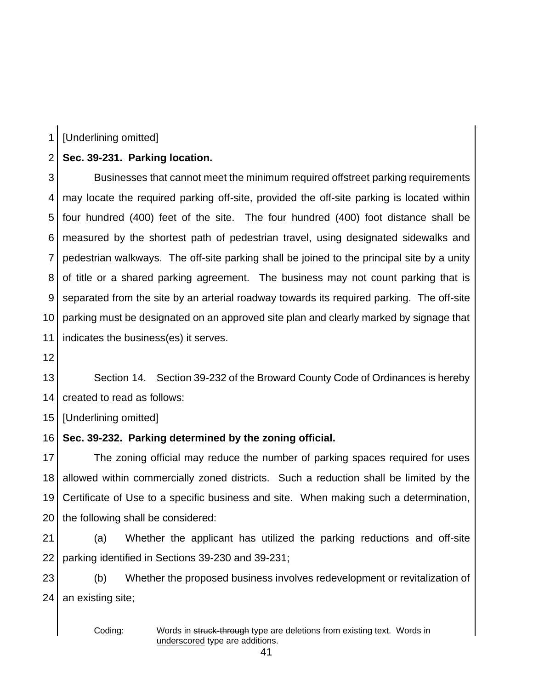1 [Underlining omitted]

#### 2 **Sec. 39-231. Parking location.**

3 4 5 6 7 8 9 10 11 Businesses that cannot meet the minimum required offstreet parking requirements may locate the required parking off-site, provided the off-site parking is located within four hundred (400) feet of the site. The four hundred (400) foot distance shall be measured by the shortest path of pedestrian travel, using designated sidewalks and pedestrian walkways. The off-site parking shall be joined to the principal site by a unity of title or a shared parking agreement. The business may not count parking that is separated from the site by an arterial roadway towards its required parking. The off-site parking must be designated on an approved site plan and clearly marked by signage that indicates the business(es) it serves.

12

13 14 Section 14. Section 39-232 of the Broward County Code of Ordinances is hereby created to read as follows:

15 [Underlining omitted]

16 **Sec. 39-232. Parking determined by the zoning official.**

17 18 19 20 The zoning official may reduce the number of parking spaces required for uses allowed within commercially zoned districts. Such a reduction shall be limited by the Certificate of Use to a specific business and site. When making such a determination, the following shall be considered:

21 22 (a) Whether the applicant has utilized the parking reductions and off-site parking identified in Sections 39-230 and 39-231;

23  $24<sub>1</sub>$ (b) Whether the proposed business involves redevelopment or revitalization of an existing site;

Coding: Words in struck-through type are deletions from existing text. Words in underscored type are additions.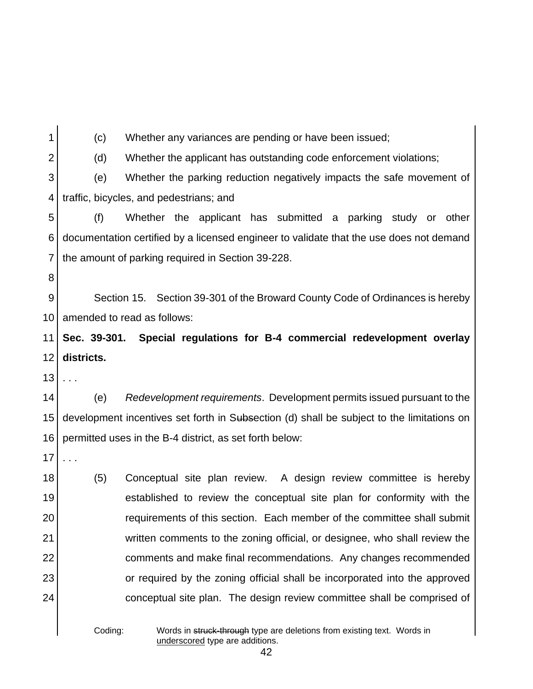1 2 3 4 5 6 7 8 9 10 11  $12<sup>1</sup>$ 13 14 15 16 17 18 19 20 21 22 23 24 (c) Whether any variances are pending or have been issued; (d) Whether the applicant has outstanding code enforcement violations; (e) Whether the parking reduction negatively impacts the safe movement of traffic, bicycles, and pedestrians; and (f) Whether the applicant has submitted a parking study or other documentation certified by a licensed engineer to validate that the use does not demand the amount of parking required in Section 39-228. Section 15. Section 39-301 of the Broward County Code of Ordinances is hereby amended to read as follows: **Sec. 39-301. Special regulations for B-4 commercial redevelopment overlay districts.** . . . (e) *Redevelopment requirements*. Development permits issued pursuant to the development incentives set forth in Subsection (d) shall be subject to the limitations on permitted uses in the B-4 district, as set forth below: . . . (5) Conceptual site plan review. A design review committee is hereby established to review the conceptual site plan for conformity with the requirements of this section. Each member of the committee shall submit written comments to the zoning official, or designee, who shall review the comments and make final recommendations. Any changes recommended or required by the zoning official shall be incorporated into the approved conceptual site plan. The design review committee shall be comprised of

Coding: Words in struck-through type are deletions from existing text. Words in underscored type are additions.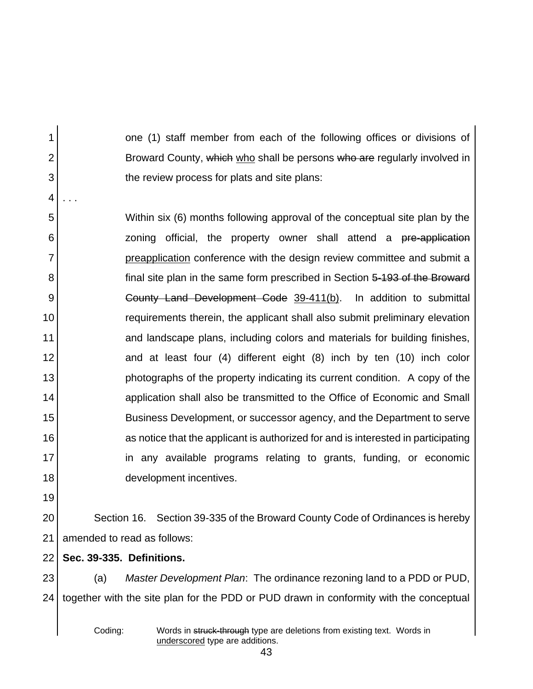one (1) staff member from each of the following offices or divisions of Broward County, which who shall be persons who are regularly involved in the review process for plats and site plans:

5 6 7 8 9 10 11 12 13 14 15 16 17 18 Within six (6) months following approval of the conceptual site plan by the zoning official, the property owner shall attend a pre-application preapplication conference with the design review committee and submit a final site plan in the same form prescribed in Section 5-193 of the Broward County Land Development Code 39-411(b). In addition to submittal requirements therein, the applicant shall also submit preliminary elevation and landscape plans, including colors and materials for building finishes, and at least four (4) different eight (8) inch by ten (10) inch color photographs of the property indicating its current condition. A copy of the application shall also be transmitted to the Office of Economic and Small Business Development, or successor agency, and the Department to serve as notice that the applicant is authorized for and is interested in participating in any available programs relating to grants, funding, or economic development incentives.

19

1

2

3

4

. . .

20 21 Section 16. Section 39-335 of the Broward County Code of Ordinances is hereby amended to read as follows:

22 **Sec. 39-335. Definitions.**

23  $24<sub>1</sub>$ (a) *Master Development Plan*: The ordinance rezoning land to a PDD or PUD, together with the site plan for the PDD or PUD drawn in conformity with the conceptual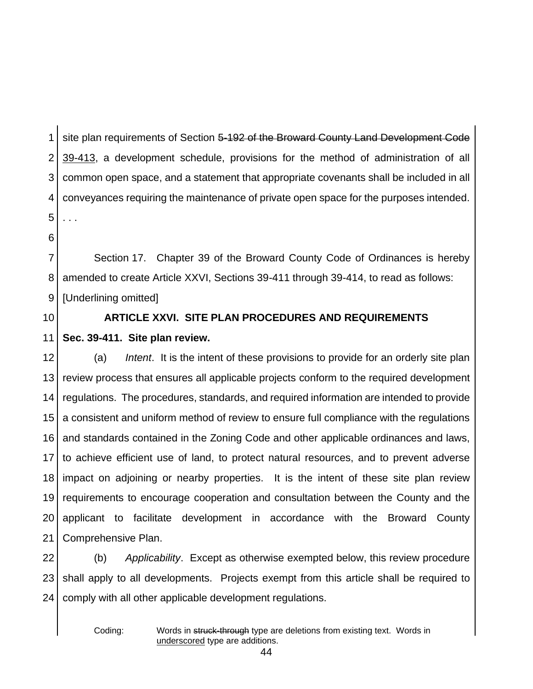1 2 3 4 5 site plan requirements of Section 5-192 of the Broward County Land Development Code 39-413, a development schedule, provisions for the method of administration of all common open space, and a statement that appropriate covenants shall be included in all conveyances requiring the maintenance of private open space for the purposes intended. . . .

6

7 8 9 Section 17. Chapter 39 of the Broward County Code of Ordinances is hereby amended to create Article XXVI, Sections 39-411 through 39-414, to read as follows: [Underlining omitted]

10

11

# **ARTICLE XXVI. SITE PLAN PROCEDURES AND REQUIREMENTS Sec. 39-411. Site plan review.**

12 13 14 15 16 17 18 19 20 21 (a) *Intent*. It is the intent of these provisions to provide for an orderly site plan review process that ensures all applicable projects conform to the required development regulations. The procedures, standards, and required information are intended to provide a consistent and uniform method of review to ensure full compliance with the regulations and standards contained in the Zoning Code and other applicable ordinances and laws, to achieve efficient use of land, to protect natural resources, and to prevent adverse impact on adjoining or nearby properties. It is the intent of these site plan review requirements to encourage cooperation and consultation between the County and the applicant to facilitate development in accordance with the Broward County Comprehensive Plan.

22 23 24 (b) *Applicability*. Except as otherwise exempted below, this review procedure shall apply to all developments. Projects exempt from this article shall be required to comply with all other applicable development regulations.

Coding: Words in struck-through type are deletions from existing text. Words in underscored type are additions.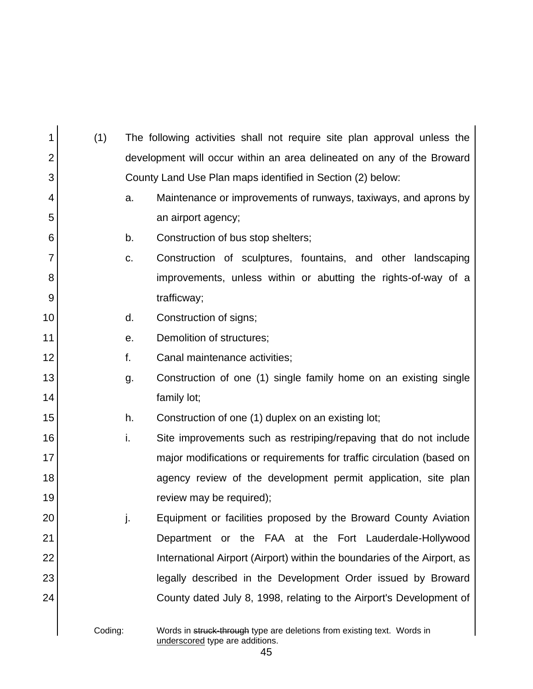| 1              | (1)     |    | The following activities shall not require site plan approval unless the |  |  |  |  |  |
|----------------|---------|----|--------------------------------------------------------------------------|--|--|--|--|--|
| $\overline{2}$ |         |    | development will occur within an area delineated on any of the Broward   |  |  |  |  |  |
| 3              |         |    | County Land Use Plan maps identified in Section (2) below:               |  |  |  |  |  |
| 4              |         | a. | Maintenance or improvements of runways, taxiways, and aprons by          |  |  |  |  |  |
| 5              |         |    | an airport agency;                                                       |  |  |  |  |  |
| 6              |         | b. | Construction of bus stop shelters;                                       |  |  |  |  |  |
| 7              |         | C. | Construction of sculptures, fountains, and other landscaping             |  |  |  |  |  |
| 8              |         |    | improvements, unless within or abutting the rights-of-way of a           |  |  |  |  |  |
| 9              |         |    | trafficway;                                                              |  |  |  |  |  |
| 10             |         | d. | Construction of signs;                                                   |  |  |  |  |  |
| 11             |         | е. | Demolition of structures;                                                |  |  |  |  |  |
| 12             |         | f. | Canal maintenance activities;                                            |  |  |  |  |  |
| 13             |         | g. | Construction of one (1) single family home on an existing single         |  |  |  |  |  |
| 14             |         |    | family lot;                                                              |  |  |  |  |  |
| 15             |         | h. | Construction of one (1) duplex on an existing lot;                       |  |  |  |  |  |
| 16             |         | i. | Site improvements such as restriping/repaving that do not include        |  |  |  |  |  |
| 17             |         |    | major modifications or requirements for traffic circulation (based on    |  |  |  |  |  |
| 18             |         |    | agency review of the development permit application, site plan           |  |  |  |  |  |
| 19             |         |    | review may be required);                                                 |  |  |  |  |  |
| 20             |         |    | Equipment or facilities proposed by the Broward County Aviation          |  |  |  |  |  |
| 21             |         |    | Department or the FAA at the Fort Lauderdale-Hollywood                   |  |  |  |  |  |
| 22             |         |    | International Airport (Airport) within the boundaries of the Airport, as |  |  |  |  |  |
| 23             |         |    | legally described in the Development Order issued by Broward             |  |  |  |  |  |
| 24             |         |    | County dated July 8, 1998, relating to the Airport's Development of      |  |  |  |  |  |
|                |         |    |                                                                          |  |  |  |  |  |
|                | Coding: |    | Words in struck-through type are deletions from existing text. Words in  |  |  |  |  |  |

underscored type are additions.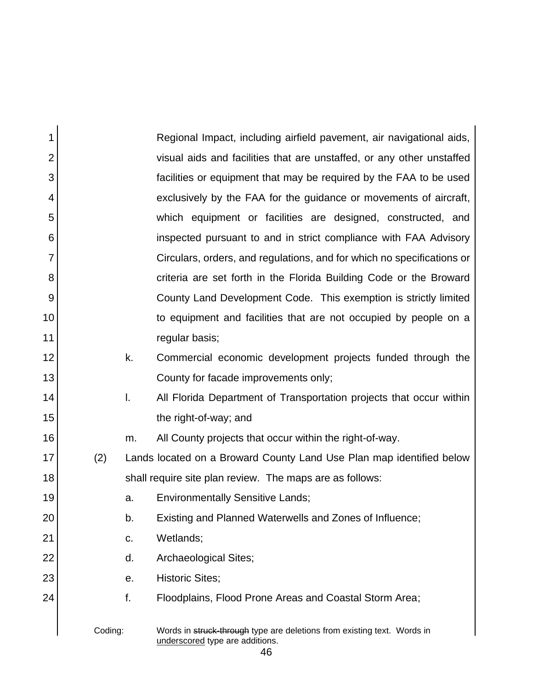| 1              |         | Regional Impact, including airfield pavement, air navigational aids,                                       |
|----------------|---------|------------------------------------------------------------------------------------------------------------|
| $\overline{2}$ |         | visual aids and facilities that are unstaffed, or any other unstaffed                                      |
| 3              |         | facilities or equipment that may be required by the FAA to be used                                         |
| 4              |         | exclusively by the FAA for the guidance or movements of aircraft,                                          |
| 5              |         | which equipment or facilities are designed, constructed, and                                               |
| 6              |         | inspected pursuant to and in strict compliance with FAA Advisory                                           |
| $\overline{7}$ |         | Circulars, orders, and regulations, and for which no specifications or                                     |
| 8              |         | criteria are set forth in the Florida Building Code or the Broward                                         |
| 9              |         | County Land Development Code. This exemption is strictly limited                                           |
| 10             |         | to equipment and facilities that are not occupied by people on a                                           |
| 11             |         | regular basis;                                                                                             |
| 12             | k.      | Commercial economic development projects funded through the                                                |
| 13             |         | County for facade improvements only;                                                                       |
| 14             | I.      | All Florida Department of Transportation projects that occur within                                        |
| 15             |         | the right-of-way; and                                                                                      |
| 16             | m.      | All County projects that occur within the right-of-way.                                                    |
| 17             | (2)     | Lands located on a Broward County Land Use Plan map identified below                                       |
| 18             |         | shall require site plan review. The maps are as follows:                                                   |
| 19             | a.      | <b>Environmentally Sensitive Lands;</b>                                                                    |
| 20             | b.      | Existing and Planned Waterwells and Zones of Influence;                                                    |
| 21             | C.      | Wetlands;                                                                                                  |
| 22             | d.      | Archaeological Sites;                                                                                      |
| 23             | е.      | <b>Historic Sites;</b>                                                                                     |
| 24             | f.      | Floodplains, Flood Prone Areas and Coastal Storm Area;                                                     |
|                | Coding: | Words in struck-through type are deletions from existing text. Words in<br>underscored type are additions. |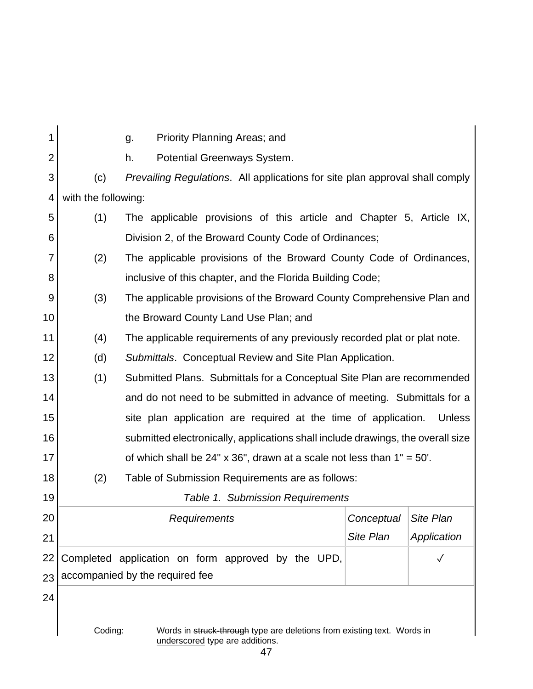| 1              |                                                                                                                       | Priority Planning Areas; and<br>g.                                              |                  |                  |  |  |  |  |
|----------------|-----------------------------------------------------------------------------------------------------------------------|---------------------------------------------------------------------------------|------------------|------------------|--|--|--|--|
| $\overline{2}$ |                                                                                                                       | Potential Greenways System.<br>h.                                               |                  |                  |  |  |  |  |
| 3              | (c)                                                                                                                   | Prevailing Regulations. All applications for site plan approval shall comply    |                  |                  |  |  |  |  |
| 4              | with the following:                                                                                                   |                                                                                 |                  |                  |  |  |  |  |
| 5              | (1)                                                                                                                   | The applicable provisions of this article and Chapter 5, Article IX,            |                  |                  |  |  |  |  |
| 6              |                                                                                                                       | Division 2, of the Broward County Code of Ordinances;                           |                  |                  |  |  |  |  |
| $\overline{7}$ | (2)                                                                                                                   | The applicable provisions of the Broward County Code of Ordinances,             |                  |                  |  |  |  |  |
| 8              |                                                                                                                       | inclusive of this chapter, and the Florida Building Code;                       |                  |                  |  |  |  |  |
| 9              | (3)                                                                                                                   | The applicable provisions of the Broward County Comprehensive Plan and          |                  |                  |  |  |  |  |
| 10             |                                                                                                                       | the Broward County Land Use Plan; and                                           |                  |                  |  |  |  |  |
| 11             | (4)                                                                                                                   | The applicable requirements of any previously recorded plat or plat note.       |                  |                  |  |  |  |  |
| 12             | (d)                                                                                                                   | Submittals. Conceptual Review and Site Plan Application.                        |                  |                  |  |  |  |  |
| 13             | (1)                                                                                                                   | Submitted Plans. Submittals for a Conceptual Site Plan are recommended          |                  |                  |  |  |  |  |
| 14             |                                                                                                                       | and do not need to be submitted in advance of meeting. Submittals for a         |                  |                  |  |  |  |  |
| 15             |                                                                                                                       | site plan application are required at the time of application.                  |                  | <b>Unless</b>    |  |  |  |  |
| 16             |                                                                                                                       | submitted electronically, applications shall include drawings, the overall size |                  |                  |  |  |  |  |
| 17             |                                                                                                                       | of which shall be 24" x 36", drawn at a scale not less than $1" = 50'$ .        |                  |                  |  |  |  |  |
| 18             | (2)                                                                                                                   | Table of Submission Requirements are as follows:                                |                  |                  |  |  |  |  |
| 19             |                                                                                                                       | Table 1. Submission Requirements                                                |                  |                  |  |  |  |  |
| 20             |                                                                                                                       | Requirements                                                                    | Conceptual       | <b>Site Plan</b> |  |  |  |  |
| 21             |                                                                                                                       |                                                                                 | <b>Site Plan</b> | Application      |  |  |  |  |
| 22             |                                                                                                                       | Completed application on form approved by the UPD,                              |                  | $\checkmark$     |  |  |  |  |
| 23             |                                                                                                                       | accompanied by the required fee                                                 |                  |                  |  |  |  |  |
| 24             |                                                                                                                       |                                                                                 |                  |                  |  |  |  |  |
|                | Coding:<br>Words in struck-through type are deletions from existing text. Words in<br>underscored type are additions. |                                                                                 |                  |                  |  |  |  |  |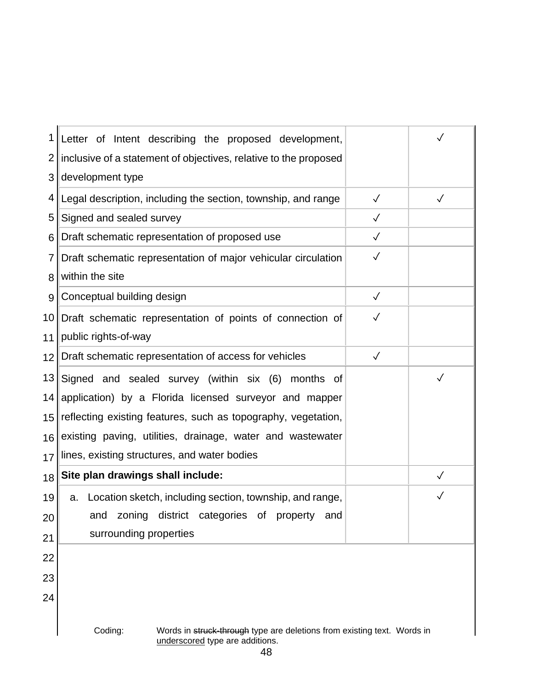| 1               | Letter of Intent describing the proposed development,                                                                 |              | $\checkmark$ |  |  |  |  |  |
|-----------------|-----------------------------------------------------------------------------------------------------------------------|--------------|--------------|--|--|--|--|--|
| 2               | inclusive of a statement of objectives, relative to the proposed                                                      |              |              |  |  |  |  |  |
| 3               | development type                                                                                                      |              |              |  |  |  |  |  |
| 4               | Legal description, including the section, township, and range                                                         | $\checkmark$ | $\checkmark$ |  |  |  |  |  |
| 5               | Signed and sealed survey                                                                                              | $\checkmark$ |              |  |  |  |  |  |
| 6               | Draft schematic representation of proposed use                                                                        | $\checkmark$ |              |  |  |  |  |  |
| 7               | Draft schematic representation of major vehicular circulation                                                         | $\checkmark$ |              |  |  |  |  |  |
| 8               | within the site                                                                                                       |              |              |  |  |  |  |  |
| 9               | Conceptual building design                                                                                            | $\checkmark$ |              |  |  |  |  |  |
| 10              | Draft schematic representation of points of connection of                                                             | $\checkmark$ |              |  |  |  |  |  |
| 11              | public rights-of-way                                                                                                  |              |              |  |  |  |  |  |
| 12 <sub>1</sub> | Draft schematic representation of access for vehicles                                                                 | $\checkmark$ |              |  |  |  |  |  |
| 13              | Signed and sealed survey (within six (6) months of                                                                    |              | $\checkmark$ |  |  |  |  |  |
| 14              | application) by a Florida licensed surveyor and mapper                                                                |              |              |  |  |  |  |  |
| 15              | reflecting existing features, such as topography, vegetation,                                                         |              |              |  |  |  |  |  |
| 16 <sub>l</sub> | existing paving, utilities, drainage, water and wastewater                                                            |              |              |  |  |  |  |  |
| 17              | lines, existing structures, and water bodies                                                                          |              |              |  |  |  |  |  |
| 18              | Site plan drawings shall include:                                                                                     |              |              |  |  |  |  |  |
| 19              | Location sketch, including section, township, and range,<br>a.                                                        |              | $\checkmark$ |  |  |  |  |  |
| 20              | and zoning district categories of property<br>and                                                                     |              |              |  |  |  |  |  |
| 21              | surrounding properties                                                                                                |              |              |  |  |  |  |  |
| 22              |                                                                                                                       |              |              |  |  |  |  |  |
| 23              |                                                                                                                       |              |              |  |  |  |  |  |
| 24              |                                                                                                                       |              |              |  |  |  |  |  |
|                 |                                                                                                                       |              |              |  |  |  |  |  |
|                 | Coding:<br>Words in struck-through type are deletions from existing text. Words in<br>underscored type are additions. |              |              |  |  |  |  |  |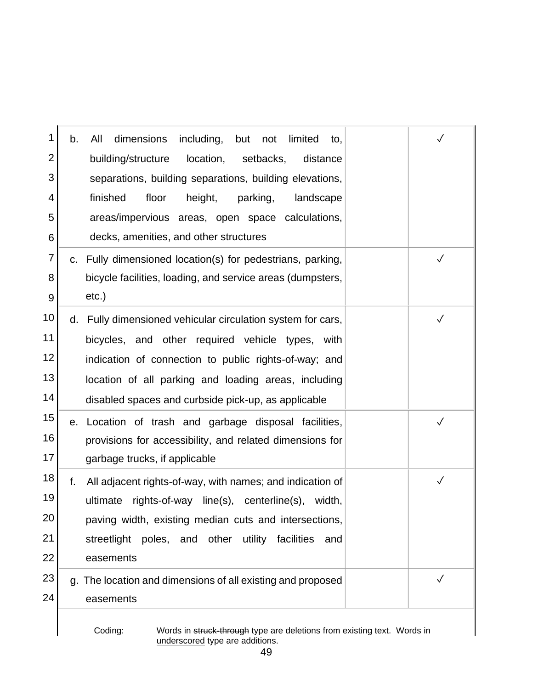| 1        | including, but not<br>All<br>dimensions<br>limited<br>b.<br>to,                    |              |
|----------|------------------------------------------------------------------------------------|--------------|
| 2        | building/structure<br>location,<br>setbacks,<br>distance                           |              |
| 3        | separations, building separations, building elevations,                            |              |
| 4        | finished<br>floor<br>parking,<br>height,<br>landscape                              |              |
| 5        | areas/impervious areas, open space calculations,                                   |              |
| 6        | decks, amenities, and other structures                                             |              |
| 7        | c. Fully dimensioned location(s) for pedestrians, parking,                         | $\checkmark$ |
| 8        | bicycle facilities, loading, and service areas (dumpsters,                         |              |
| 9        | $etc.$ )                                                                           |              |
| 10       | d. Fully dimensioned vehicular circulation system for cars,                        |              |
| 11       | bicycles, and other required vehicle types, with                                   |              |
| 12       | indication of connection to public rights-of-way; and                              |              |
| 13       | location of all parking and loading areas, including                               |              |
| 14       | disabled spaces and curbside pick-up, as applicable                                |              |
| 15       | e. Location of trash and garbage disposal facilities,                              | $\checkmark$ |
| 16       | provisions for accessibility, and related dimensions for                           |              |
| 17       | garbage trucks, if applicable                                                      |              |
| 18       | f.<br>All adjacent rights-of-way, with names; and indication of                    | $\checkmark$ |
| 19       | rights-of-way line(s), centerline(s),<br>ultimate<br>width,                        |              |
| 20       | paving width, existing median cuts and intersections,                              |              |
| 21       | streetlight poles, and other utility facilities<br>and                             |              |
| 22       | easements                                                                          |              |
| 23<br>24 | g. The location and dimensions of all existing and proposed                        | $\checkmark$ |
|          | easements                                                                          |              |
|          | Coding:<br>Words in struck-through type are deletions from existing text. Words in |              |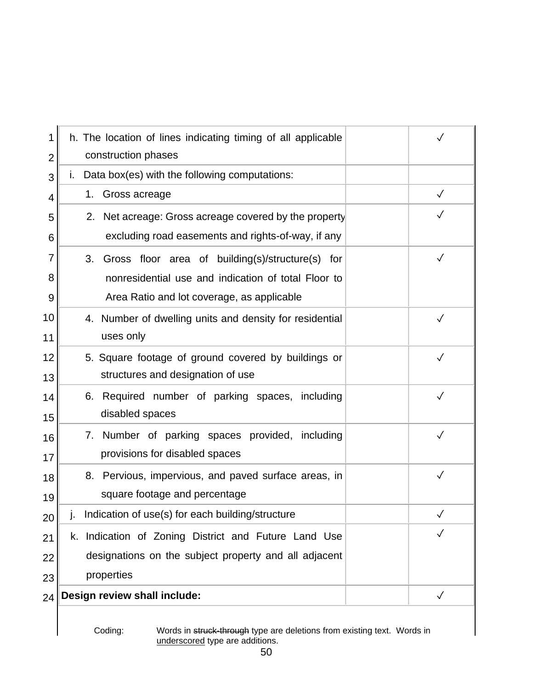| 1  | h. The location of lines indicating timing of all applicable<br>construction phases | $\checkmark$ |
|----|-------------------------------------------------------------------------------------|--------------|
| 2  | Data box(es) with the following computations:                                       |              |
| 3  | Τ.                                                                                  |              |
| 4  | Gross acreage<br>1.                                                                 |              |
| 5  | 2. Net acreage: Gross acreage covered by the property                               |              |
| 6  | excluding road easements and rights-of-way, if any                                  |              |
| 7  | Gross floor area of building(s)/structure(s) for<br>3.                              | $\checkmark$ |
| 8  | nonresidential use and indication of total Floor to                                 |              |
| 9  | Area Ratio and lot coverage, as applicable                                          |              |
| 10 | 4. Number of dwelling units and density for residential                             | $\checkmark$ |
| 11 | uses only                                                                           |              |
| 12 | 5. Square footage of ground covered by buildings or                                 | $\checkmark$ |
| 13 | structures and designation of use                                                   |              |
| 14 | Required number of parking spaces, including<br>6.                                  | $\checkmark$ |
| 15 | disabled spaces                                                                     |              |
| 16 | 7. Number of parking spaces provided, including                                     | $\checkmark$ |
| 17 | provisions for disabled spaces                                                      |              |
| 18 | Pervious, impervious, and paved surface areas, in<br>8.                             | $\checkmark$ |
| 19 | square footage and percentage                                                       |              |
| 20 | j. Indication of use(s) for each building/structure                                 | $\checkmark$ |
| 21 | k. Indication of Zoning District and Future Land Use                                | $\sqrt{}$    |
| 22 | designations on the subject property and all adjacent                               |              |
| 23 | properties                                                                          |              |
| 24 | Design review shall include:                                                        | $\checkmark$ |
|    |                                                                                     |              |

 $\overline{\phantom{a}}$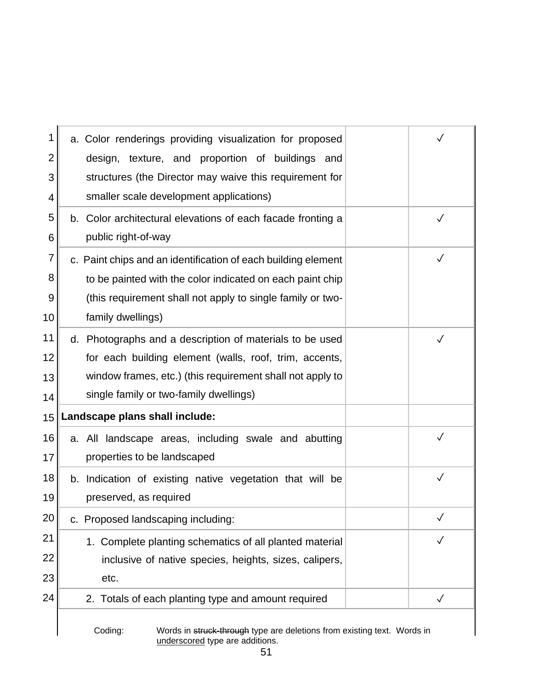| 1  | a. Color renderings providing visualization for proposed      |              |
|----|---------------------------------------------------------------|--------------|
| 2  | design, texture, and proportion of buildings and              |              |
| 3  | structures (the Director may waive this requirement for       |              |
| 4  | smaller scale development applications)                       |              |
| 5  | b. Color architectural elevations of each facade fronting a   | $\checkmark$ |
| 6  | public right-of-way                                           |              |
| 7  | c. Paint chips and an identification of each building element | $\checkmark$ |
| 8  | to be painted with the color indicated on each paint chip     |              |
| 9  | (this requirement shall not apply to single family or two-    |              |
| 10 | family dwellings)                                             |              |
| 11 | d. Photographs and a description of materials to be used      | $\checkmark$ |
| 12 | for each building element (walls, roof, trim, accents,        |              |
| 13 | window frames, etc.) (this requirement shall not apply to     |              |
| 14 | single family or two-family dwellings)                        |              |
| 15 | Landscape plans shall include:                                |              |
| 16 | a. All landscape areas, including swale and abutting          | $\checkmark$ |
| 17 | properties to be landscaped                                   |              |
| 18 | b. Indication of existing native vegetation that will be      | $\checkmark$ |
| 19 | preserved, as required                                        |              |
| 20 | c. Proposed landscaping including:                            | $\checkmark$ |
| 21 | 1. Complete planting schematics of all planted material       | $\checkmark$ |
| 22 | inclusive of native species, heights, sizes, calipers,        |              |
|    | etc.                                                          |              |
| 23 |                                                               |              |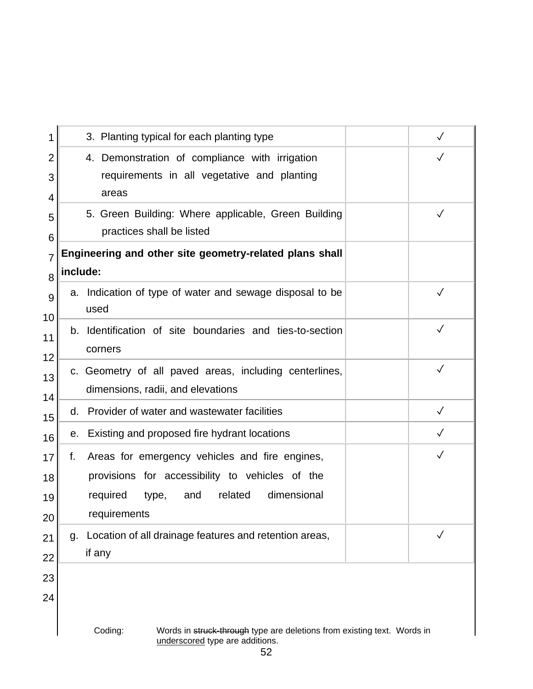| 3. Planting typical for each planting type                                                                                                          |                                                                                                            | $\checkmark$ |
|-----------------------------------------------------------------------------------------------------------------------------------------------------|------------------------------------------------------------------------------------------------------------|--------------|
| 4. Demonstration of compliance with irrigation<br>areas                                                                                             | requirements in all vegetative and planting                                                                | $\checkmark$ |
| practices shall be listed                                                                                                                           | 5. Green Building: Where applicable, Green Building                                                        | $\checkmark$ |
| Engineering and other site geometry-related plans shall<br>include:                                                                                 |                                                                                                            |              |
| a. Indication of type of water and sewage disposal to be<br>used                                                                                    |                                                                                                            | $\checkmark$ |
| b. Identification of site boundaries and ties-to-section<br>corners                                                                                 |                                                                                                            | $\checkmark$ |
| c. Geometry of all paved areas, including centerlines,<br>dimensions, radii, and elevations                                                         |                                                                                                            | $\checkmark$ |
| Provider of water and wastewater facilities<br>d.                                                                                                   |                                                                                                            | $\checkmark$ |
| Existing and proposed fire hydrant locations<br>е.                                                                                                  |                                                                                                            | $\checkmark$ |
| Areas for emergency vehicles and fire engines,<br>f.<br>provisions for accessibility to vehicles of the<br>and<br>required<br>type,<br>requirements | related<br>dimensional                                                                                     | $\checkmark$ |
| Location of all drainage features and retention areas,<br>g.<br>if any                                                                              |                                                                                                            | ✓            |
|                                                                                                                                                     |                                                                                                            |              |
| Coding:                                                                                                                                             | Words in struck-through type are deletions from existing text. Words in<br>underscored type are additions. |              |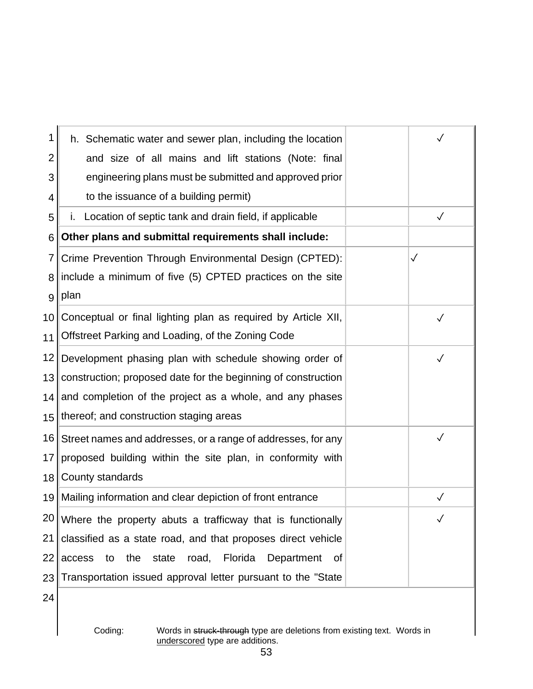| 1                | h. Schematic water and sewer plan, including the location       |              |
|------------------|-----------------------------------------------------------------|--------------|
| 2                | and size of all mains and lift stations (Note: final            |              |
| 3                | engineering plans must be submitted and approved prior          |              |
| 4                | to the issuance of a building permit)                           |              |
| 5                | Location of septic tank and drain field, if applicable          | $\checkmark$ |
| 6                | Other plans and submittal requirements shall include:           |              |
| 7                | Crime Prevention Through Environmental Design (CPTED):          | $\checkmark$ |
| 8                | include a minimum of five (5) CPTED practices on the site       |              |
| 9                | plan                                                            |              |
| 10               | Conceptual or final lighting plan as required by Article XII,   | $\checkmark$ |
| 11               | Offstreet Parking and Loading, of the Zoning Code               |              |
| 12               | Development phasing plan with schedule showing order of         | $\checkmark$ |
| 13 <sub>1</sub>  | construction; proposed date for the beginning of construction   |              |
|                  | 14 and completion of the project as a whole, and any phases     |              |
| 15 <sup>15</sup> | thereof; and construction staging areas                         |              |
| 16               | Street names and addresses, or a range of addresses, for any    | $\checkmark$ |
| 17               | proposed building within the site plan, in conformity with      |              |
| 18               | County standards                                                |              |
|                  | 19 Mailing information and clear depiction of front entrance    | $\checkmark$ |
|                  | $20$ Where the property abuts a trafficway that is functionally |              |
| 21               | classified as a state road, and that proposes direct vehicle    |              |
| 22               | access<br>to the<br>state road, Florida<br>Department<br>of     |              |
| 23               | Transportation issued approval letter pursuant to the "State"   |              |
| 24               |                                                                 |              |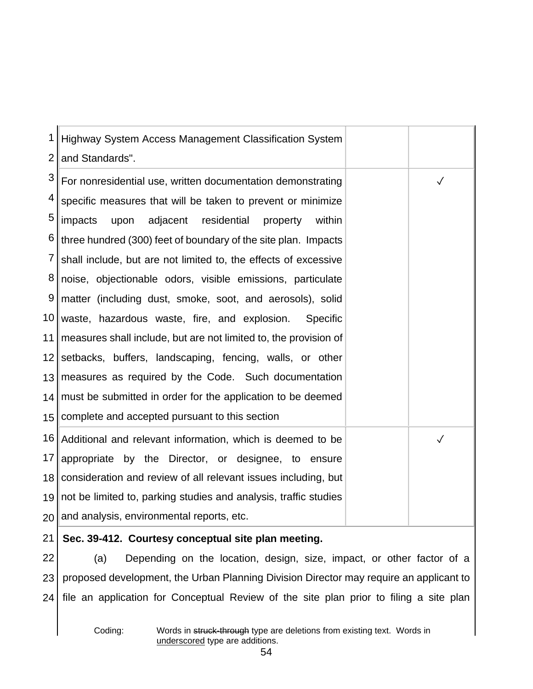| 1  | Highway System Access Management Classification System              |              |
|----|---------------------------------------------------------------------|--------------|
| 2  | and Standards".                                                     |              |
| 3  | For nonresidential use, written documentation demonstrating         | $\checkmark$ |
| 4  | specific measures that will be taken to prevent or minimize         |              |
| 5  | impacts<br>adjacent<br>residential<br>upon<br>within<br>property    |              |
| 6  | three hundred (300) feet of boundary of the site plan. Impacts      |              |
| 7  | shall include, but are not limited to, the effects of excessive     |              |
| 8  | noise, objectionable odors, visible emissions, particulate          |              |
| 9  | matter (including dust, smoke, soot, and aerosols), solid           |              |
|    | 10 waste, hazardous waste, fire, and explosion.<br>Specific         |              |
| 11 | measures shall include, but are not limited to, the provision of    |              |
|    | 12 setbacks, buffers, landscaping, fencing, walls, or other         |              |
|    | 13 measures as required by the Code. Such documentation             |              |
|    | 14   must be submitted in order for the application to be deemed    |              |
|    | 15 Complete and accepted pursuant to this section                   |              |
| 16 | Additional and relevant information, which is deemed to be          | $\checkmark$ |
| 17 | appropriate by the Director, or designee, to ensure                 |              |
| 18 | consideration and review of all relevant issues including, but      |              |
|    | 19 not be limited to, parking studies and analysis, traffic studies |              |
|    | 20 and analysis, environmental reports, etc.                        |              |
|    |                                                                     |              |

#### 21 **Sec. 39-412. Courtesy conceptual site plan meeting.**

22 23 24 (a) Depending on the location, design, size, impact, or other factor of a proposed development, the Urban Planning Division Director may require an applicant to file an application for Conceptual Review of the site plan prior to filing a site plan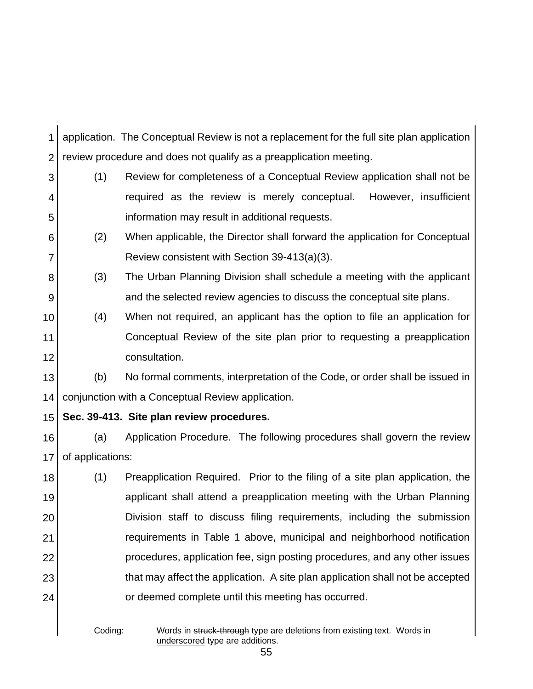1 2 application. The Conceptual Review is not a replacement for the full site plan application review procedure and does not qualify as a preapplication meeting.

- 3 4 5 (1) Review for completeness of a Conceptual Review application shall not be required as the review is merely conceptual. However, insufficient information may result in additional requests.
- 6 7 (2) When applicable, the Director shall forward the application for Conceptual Review consistent with Section 39-413(a)(3).
- 8 9 (3) The Urban Planning Division shall schedule a meeting with the applicant and the selected review agencies to discuss the conceptual site plans.
- 10 11 12 (4) When not required, an applicant has the option to file an application for Conceptual Review of the site plan prior to requesting a preapplication consultation.
- 13 14 (b) No formal comments, interpretation of the Code, or order shall be issued in conjunction with a Conceptual Review application.
- 15

**Sec. 39-413. Site plan review procedures.**

16 17 (a) Application Procedure. The following procedures shall govern the review of applications:

18 19 20 21 22 23 24 (1) Preapplication Required. Prior to the filing of a site plan application, the applicant shall attend a preapplication meeting with the Urban Planning Division staff to discuss filing requirements, including the submission requirements in Table 1 above, municipal and neighborhood notification procedures, application fee, sign posting procedures, and any other issues that may affect the application. A site plan application shall not be accepted or deemed complete until this meeting has occurred.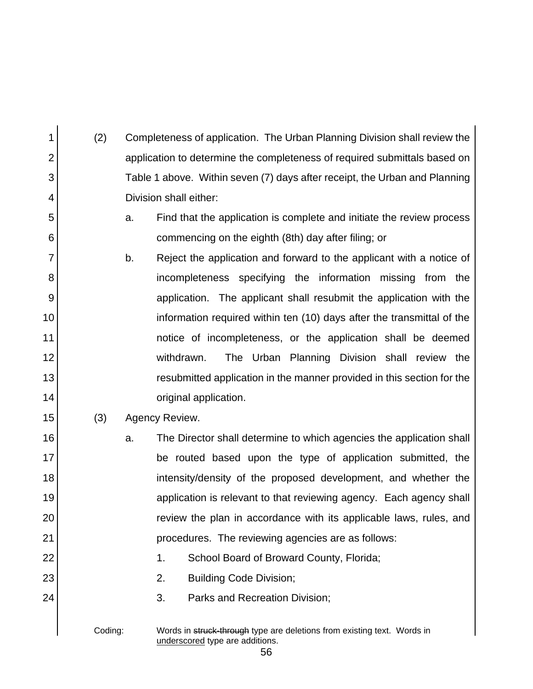| 1              | (2)     | Completeness of application. The Urban Planning Division shall review the                                        |
|----------------|---------|------------------------------------------------------------------------------------------------------------------|
| $\overline{2}$ |         | application to determine the completeness of required submittals based on                                        |
| 3              |         | Table 1 above. Within seven (7) days after receipt, the Urban and Planning                                       |
| 4              |         | Division shall either:                                                                                           |
| 5              |         | Find that the application is complete and initiate the review process<br>a.                                      |
| 6              |         | commencing on the eighth (8th) day after filing; or                                                              |
| 7              |         | b.<br>Reject the application and forward to the applicant with a notice of                                       |
| 8              |         | incompleteness specifying the information missing from the                                                       |
| 9              |         | application. The applicant shall resubmit the application with the                                               |
| 10             |         | information required within ten (10) days after the transmittal of the                                           |
| 11             |         | notice of incompleteness, or the application shall be deemed                                                     |
| 12             |         | The Urban Planning Division shall review the<br>withdrawn.                                                       |
| 13             |         | resubmitted application in the manner provided in this section for the                                           |
| 14             |         | original application.                                                                                            |
| 15             | (3)     | Agency Review.                                                                                                   |
| 16             |         | The Director shall determine to which agencies the application shall<br>a.                                       |
| 17             |         | be routed based upon the type of application submitted, the                                                      |
| 18             |         | intensity/density of the proposed development, and whether the                                                   |
| 19             |         | application is relevant to that reviewing agency. Each agency shall                                              |
| 20             |         | review the plan in accordance with its applicable laws, rules, and                                               |
| 21             |         | procedures. The reviewing agencies are as follows:                                                               |
| 22             |         | 1.<br>School Board of Broward County, Florida;                                                                   |
| 23             |         | 2.<br><b>Building Code Division;</b>                                                                             |
| 24             |         | 3.<br>Parks and Recreation Division;                                                                             |
|                | Coding: | Words in struck-through type are deletions from existing text. Words in<br>underscored type are additions.<br>56 |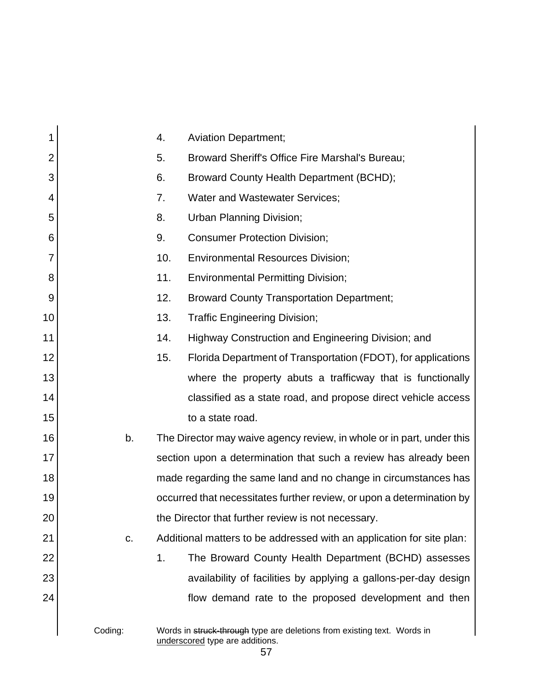| 1              |         | 4.  | <b>Aviation Department;</b>                                                                                |
|----------------|---------|-----|------------------------------------------------------------------------------------------------------------|
| $\overline{2}$ |         | 5.  | Broward Sheriff's Office Fire Marshal's Bureau;                                                            |
| 3              |         | 6.  | Broward County Health Department (BCHD);                                                                   |
| 4              |         | 7.  | <b>Water and Wastewater Services;</b>                                                                      |
| 5              |         | 8.  | Urban Planning Division;                                                                                   |
| 6              |         | 9.  | <b>Consumer Protection Division;</b>                                                                       |
| 7              |         | 10. | <b>Environmental Resources Division;</b>                                                                   |
| 8              |         | 11. | <b>Environmental Permitting Division;</b>                                                                  |
| 9              |         | 12. | <b>Broward County Transportation Department;</b>                                                           |
| 10             |         | 13. | <b>Traffic Engineering Division;</b>                                                                       |
| 11             |         | 14. | Highway Construction and Engineering Division; and                                                         |
| 12             |         | 15. | Florida Department of Transportation (FDOT), for applications                                              |
| 13             |         |     | where the property abuts a trafficway that is functionally                                                 |
| 14             |         |     | classified as a state road, and propose direct vehicle access                                              |
| 15             |         |     | to a state road.                                                                                           |
| 16             | b.      |     | The Director may waive agency review, in whole or in part, under this                                      |
| 17             |         |     | section upon a determination that such a review has already been                                           |
| 18             |         |     | made regarding the same land and no change in circumstances has                                            |
| 19             |         |     | occurred that necessitates further review, or upon a determination by                                      |
| 20             |         |     | the Director that further review is not necessary.                                                         |
| 21             | C.      |     | Additional matters to be addressed with an application for site plan:                                      |
| 22             |         | 1.  | The Broward County Health Department (BCHD) assesses                                                       |
| 23             |         |     | availability of facilities by applying a gallons-per-day design                                            |
| 24             |         |     | flow demand rate to the proposed development and then                                                      |
|                | Coding: |     | Words in struck-through type are deletions from existing text. Words in<br>underscored type are additions. |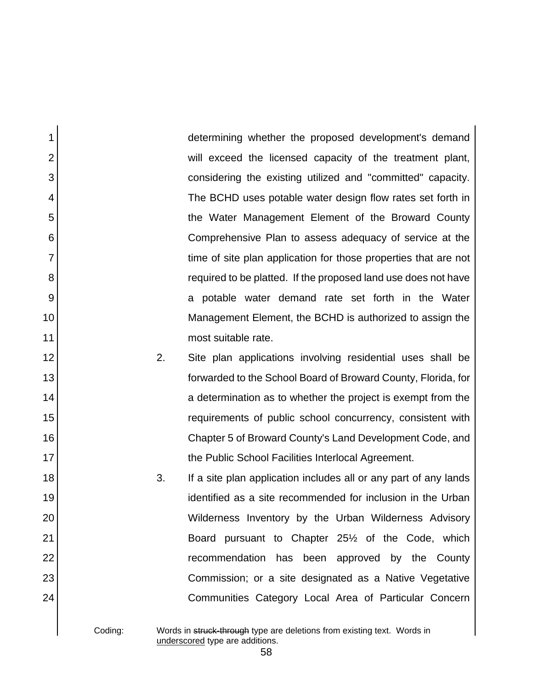determining whether the proposed development's demand will exceed the licensed capacity of the treatment plant, considering the existing utilized and "committed" capacity. The BCHD uses potable water design flow rates set forth in the Water Management Element of the Broward County Comprehensive Plan to assess adequacy of service at the time of site plan application for those properties that are not required to be platted. If the proposed land use does not have a potable water demand rate set forth in the Water Management Element, the BCHD is authorized to assign the most suitable rate.

2. Site plan applications involving residential uses shall be forwarded to the School Board of Broward County, Florida, for a determination as to whether the project is exempt from the requirements of public school concurrency, consistent with Chapter 5 of Broward County's Land Development Code, and the Public School Facilities Interlocal Agreement.

3. If a site plan application includes all or any part of any lands identified as a site recommended for inclusion in the Urban Wilderness Inventory by the Urban Wilderness Advisory Board pursuant to Chapter 25½ of the Code, which recommendation has been approved by the County Commission; or a site designated as a Native Vegetative Communities Category Local Area of Particular Concern

1

2

3

4

5

6

7

8

9

10

11

12

13

14

15

16

17

18

19

20

21

22

23

24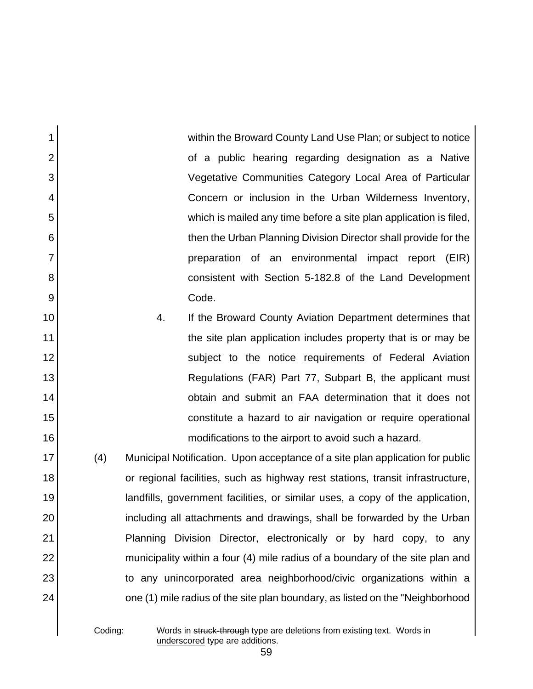within the Broward County Land Use Plan; or subject to notice of a public hearing regarding designation as a Native Vegetative Communities Category Local Area of Particular Concern or inclusion in the Urban Wilderness Inventory, which is mailed any time before a site plan application is filed, then the Urban Planning Division Director shall provide for the preparation of an environmental impact report (EIR) consistent with Section 5-182.8 of the Land Development Code.

4. If the Broward County Aviation Department determines that the site plan application includes property that is or may be subject to the notice requirements of Federal Aviation Regulations (FAR) Part 77, Subpart B, the applicant must obtain and submit an FAA determination that it does not constitute a hazard to air navigation or require operational modifications to the airport to avoid such a hazard.

(4) Municipal Notification. Upon acceptance of a site plan application for public or regional facilities, such as highway rest stations, transit infrastructure, landfills, government facilities, or similar uses, a copy of the application, including all attachments and drawings, shall be forwarded by the Urban Planning Division Director, electronically or by hard copy, to any municipality within a four (4) mile radius of a boundary of the site plan and to any unincorporated area neighborhood/civic organizations within a one (1) mile radius of the site plan boundary, as listed on the "Neighborhood

1

2

3

4

5

6

7

8

9

10

11

12

13

14

15

16

17

18

19

20

21

22

23

24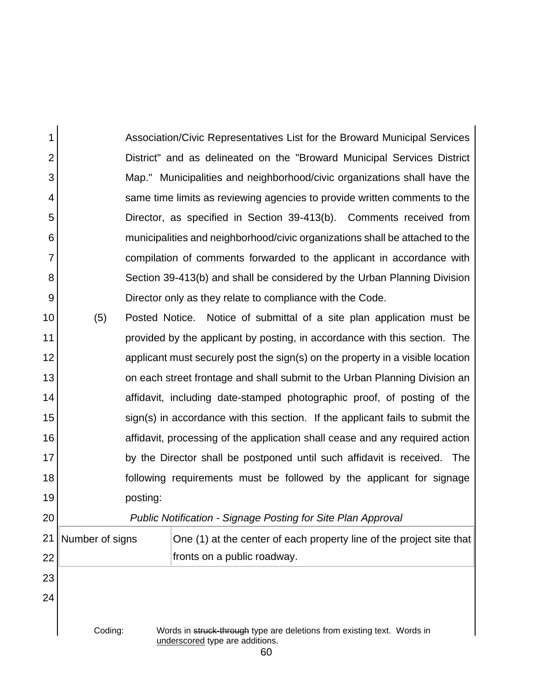Association/Civic Representatives List for the Broward Municipal Services District" and as delineated on the "Broward Municipal Services District Map." Municipalities and neighborhood/civic organizations shall have the same time limits as reviewing agencies to provide written comments to the Director, as specified in Section 39-413(b). Comments received from municipalities and neighborhood/civic organizations shall be attached to the compilation of comments forwarded to the applicant in accordance with Section 39-413(b) and shall be considered by the Urban Planning Division Director only as they relate to compliance with the Code.

1

2

3

4

5

6

7

8

9

20

10 11 12 13 14 15 16 17 18 19 (5) Posted Notice. Notice of submittal of a site plan application must be provided by the applicant by posting, in accordance with this section. The applicant must securely post the sign(s) on the property in a visible location on each street frontage and shall submit to the Urban Planning Division an affidavit, including date-stamped photographic proof, of posting of the sign(s) in accordance with this section. If the applicant fails to submit the affidavit, processing of the application shall cease and any required action by the Director shall be postponed until such affidavit is received. The following requirements must be followed by the applicant for signage posting:

*Public Notification - Signage Posting for Site Plan Approval*

21 22 23 24 Coding: Words in struck-through type are deletions from existing text. Words in underscored type are additions. Number of signs  $\Box$  One (1) at the center of each property line of the project site that fronts on a public roadway.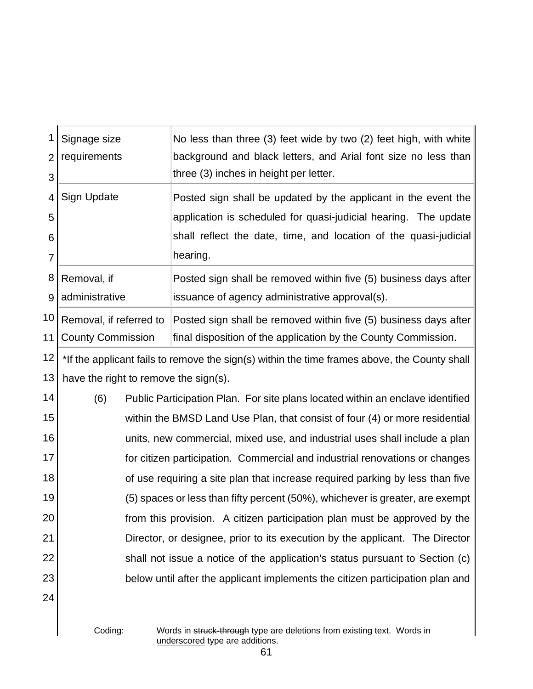| 1              | Signage size                          | No less than three (3) feet wide by two (2) feet high, with white                            |
|----------------|---------------------------------------|----------------------------------------------------------------------------------------------|
| $\overline{2}$ | requirements                          | background and black letters, and Arial font size no less than                               |
| 3              |                                       | three (3) inches in height per letter.                                                       |
| 4              | <b>Sign Update</b>                    | Posted sign shall be updated by the applicant in the event the                               |
| 5              |                                       | application is scheduled for quasi-judicial hearing. The update                              |
| 6              |                                       | shall reflect the date, time, and location of the quasi-judicial                             |
| $\overline{7}$ |                                       | hearing.                                                                                     |
| 8              | Removal, if                           | Posted sign shall be removed within five (5) business days after                             |
| 9              | administrative                        | issuance of agency administrative approval(s).                                               |
| 10             | Removal, if referred to               | Posted sign shall be removed within five (5) business days after                             |
| 11             | <b>County Commission</b>              | final disposition of the application by the County Commission.                               |
| 12             |                                       | *If the applicant fails to remove the sign(s) within the time frames above, the County shall |
| 13             | have the right to remove the sign(s). |                                                                                              |
| 14             | (6)                                   | Public Participation Plan. For site plans located within an enclave identified               |
| 15             |                                       | within the BMSD Land Use Plan, that consist of four (4) or more residential                  |
| 16             |                                       | units, new commercial, mixed use, and industrial uses shall include a plan                   |
| 17             |                                       | for citizen participation. Commercial and industrial renovations or changes                  |
| 18             |                                       | of use requiring a site plan that increase required parking by less than five                |
| 19             |                                       | (5) spaces or less than fifty percent (50%), whichever is greater, are exempt                |
| 20             |                                       | from this provision. A citizen participation plan must be approved by the                    |
| 21             |                                       | Director, or designee, prior to its execution by the applicant. The Director                 |
| 22             |                                       | shall not issue a notice of the application's status pursuant to Section (c)                 |
| 23             |                                       | below until after the applicant implements the citizen participation plan and                |
| 24             |                                       |                                                                                              |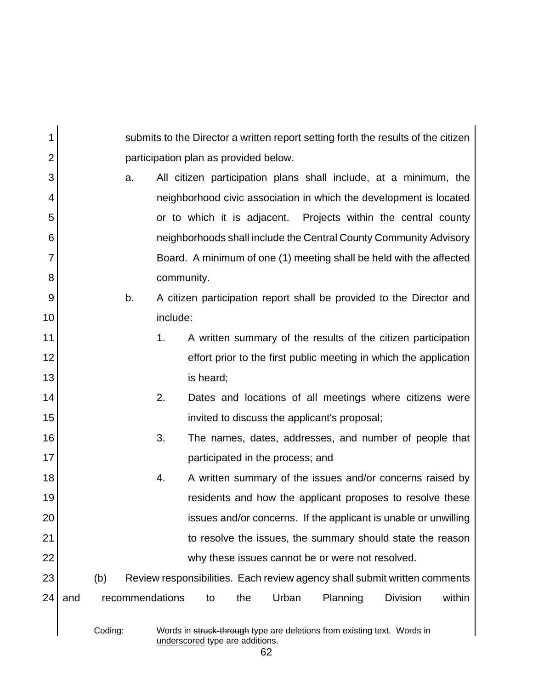| 1              |     |         |                 |          |                                                                                                            |     |       |          |                 | submits to the Director a written report setting forth the results of the citizen |
|----------------|-----|---------|-----------------|----------|------------------------------------------------------------------------------------------------------------|-----|-------|----------|-----------------|-----------------------------------------------------------------------------------|
| $\overline{2}$ |     |         |                 |          | participation plan as provided below.                                                                      |     |       |          |                 |                                                                                   |
| 3              |     |         | a.              |          |                                                                                                            |     |       |          |                 | All citizen participation plans shall include, at a minimum, the                  |
| 4              |     |         |                 |          |                                                                                                            |     |       |          |                 | neighborhood civic association in which the development is located                |
| 5              |     |         |                 |          |                                                                                                            |     |       |          |                 | or to which it is adjacent. Projects within the central county                    |
| 6              |     |         |                 |          |                                                                                                            |     |       |          |                 | neighborhoods shall include the Central County Community Advisory                 |
| 7              |     |         |                 |          |                                                                                                            |     |       |          |                 | Board. A minimum of one (1) meeting shall be held with the affected               |
| 8              |     |         |                 |          | community.                                                                                                 |     |       |          |                 |                                                                                   |
| 9              |     |         | b.              |          |                                                                                                            |     |       |          |                 | A citizen participation report shall be provided to the Director and              |
| 10             |     |         |                 | include: |                                                                                                            |     |       |          |                 |                                                                                   |
| 11             |     |         |                 | 1.       |                                                                                                            |     |       |          |                 | A written summary of the results of the citizen participation                     |
| 12             |     |         |                 |          |                                                                                                            |     |       |          |                 | effort prior to the first public meeting in which the application                 |
| 13             |     |         |                 |          | is heard;                                                                                                  |     |       |          |                 |                                                                                   |
| 14             |     |         |                 | 2.       |                                                                                                            |     |       |          |                 | Dates and locations of all meetings where citizens were                           |
| 15             |     |         |                 |          | invited to discuss the applicant's proposal;                                                               |     |       |          |                 |                                                                                   |
| 16             |     |         |                 | 3.       |                                                                                                            |     |       |          |                 | The names, dates, addresses, and number of people that                            |
| 17             |     |         |                 |          | participated in the process; and                                                                           |     |       |          |                 |                                                                                   |
| 18             |     |         |                 | 4.       |                                                                                                            |     |       |          |                 | A written summary of the issues and/or concerns raised by                         |
| 19             |     |         |                 |          |                                                                                                            |     |       |          |                 | residents and how the applicant proposes to resolve these                         |
| 20             |     |         |                 |          |                                                                                                            |     |       |          |                 | issues and/or concerns. If the applicant is unable or unwilling                   |
| 21             |     |         |                 |          |                                                                                                            |     |       |          |                 | to resolve the issues, the summary should state the reason                        |
| 22             |     |         |                 |          | why these issues cannot be or were not resolved.                                                           |     |       |          |                 |                                                                                   |
| 23             |     | (b)     |                 |          |                                                                                                            |     |       |          |                 | Review responsibilities. Each review agency shall submit written comments         |
| 24             | and |         | recommendations |          | to                                                                                                         | the | Urban | Planning | <b>Division</b> | within                                                                            |
|                |     | Coding: |                 |          | Words in struck-through type are deletions from existing text. Words in<br>underscored type are additions. |     |       |          |                 |                                                                                   |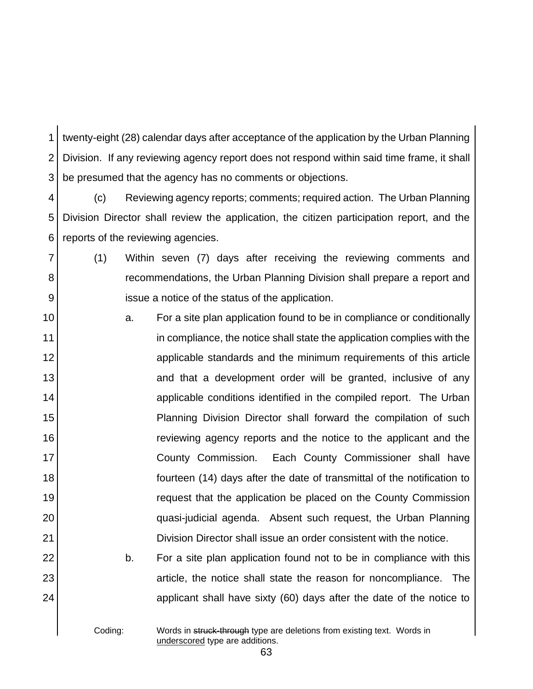1 2 3 twenty-eight (28) calendar days after acceptance of the application by the Urban Planning Division. If any reviewing agency report does not respond within said time frame, it shall be presumed that the agency has no comments or objections.

4 5 6 (c) Reviewing agency reports; comments; required action. The Urban Planning Division Director shall review the application, the citizen participation report, and the reports of the reviewing agencies.

7 8 9 (1) Within seven (7) days after receiving the reviewing comments and recommendations, the Urban Planning Division shall prepare a report and issue a notice of the status of the application.

10 11 12 13 14 15 16 17 18 19 20 21 a. For a site plan application found to be in compliance or conditionally in compliance, the notice shall state the application complies with the applicable standards and the minimum requirements of this article and that a development order will be granted, inclusive of any applicable conditions identified in the compiled report. The Urban Planning Division Director shall forward the compilation of such reviewing agency reports and the notice to the applicant and the County Commission. Each County Commissioner shall have fourteen (14) days after the date of transmittal of the notification to request that the application be placed on the County Commission quasi-judicial agenda. Absent such request, the Urban Planning Division Director shall issue an order consistent with the notice.

> b. For a site plan application found not to be in compliance with this article, the notice shall state the reason for noncompliance. The applicant shall have sixty (60) days after the date of the notice to

22

23

24

Coding: Words in struck-through type are deletions from existing text. Words in underscored type are additions.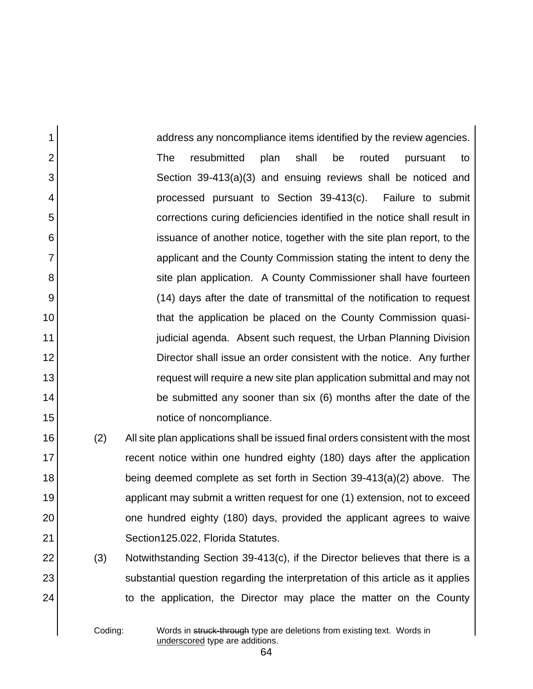1 2 3 4 5 6 7 8 9 10 11 12 13 14 15 address any noncompliance items identified by the review agencies. The resubmitted plan shall be routed pursuant to Section 39-413(a)(3) and ensuing reviews shall be noticed and processed pursuant to Section 39-413(c). Failure to submit corrections curing deficiencies identified in the notice shall result in issuance of another notice, together with the site plan report, to the applicant and the County Commission stating the intent to deny the site plan application. A County Commissioner shall have fourteen (14) days after the date of transmittal of the notification to request that the application be placed on the County Commission quasijudicial agenda. Absent such request, the Urban Planning Division Director shall issue an order consistent with the notice. Any further request will require a new site plan application submittal and may not be submitted any sooner than six (6) months after the date of the notice of noncompliance.

(2) All site plan applications shall be issued final orders consistent with the most recent notice within one hundred eighty (180) days after the application being deemed complete as set forth in Section 39-413(a)(2) above. The applicant may submit a written request for one (1) extension, not to exceed one hundred eighty (180) days, provided the applicant agrees to waive Section125.022, Florida Statutes.

(3) Notwithstanding Section 39-413(c), if the Director believes that there is a substantial question regarding the interpretation of this article as it applies to the application, the Director may place the matter on the County

16

17

18

19

20

21

22

23

24

Coding: Words in struck-through type are deletions from existing text. Words in underscored type are additions.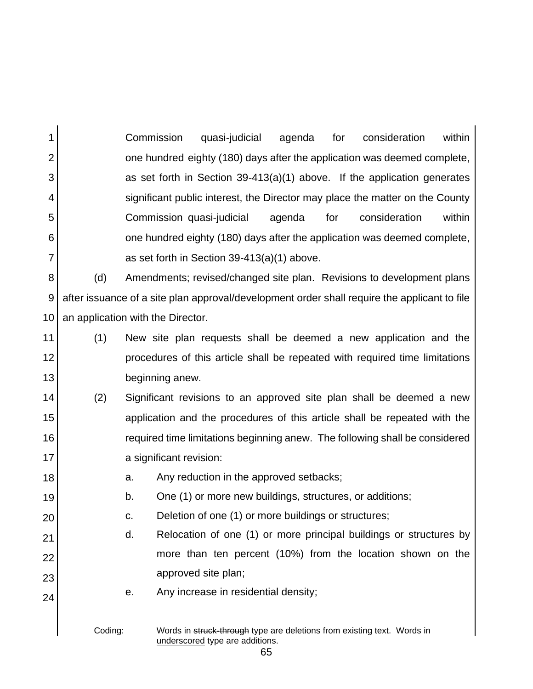1 2 3 4 5 6 7 Commission quasi-judicial agenda for consideration within one hundred eighty (180) days after the application was deemed complete, as set forth in Section 39-413(a)(1) above. If the application generates significant public interest, the Director may place the matter on the County Commission quasi-judicial agenda for consideration within one hundred eighty (180) days after the application was deemed complete, as set forth in Section 39-413(a)(1) above.

8 9 10 (d) Amendments; revised/changed site plan. Revisions to development plans after issuance of a site plan approval/development order shall require the applicant to file an application with the Director.

- 11 12 13 (1) New site plan requests shall be deemed a new application and the procedures of this article shall be repeated with required time limitations beginning anew.
- 14 15 16 17 (2) Significant revisions to an approved site plan shall be deemed a new application and the procedures of this article shall be repeated with the required time limitations beginning anew. The following shall be considered a significant revision:
	- a. Any reduction in the approved setbacks;

18

19

20

21

22

23

- b. One (1) or more new buildings, structures, or additions;
	- c. Deletion of one (1) or more buildings or structures;
- d. Relocation of one (1) or more principal buildings or structures by more than ten percent (10%) from the location shown on the approved site plan;
	- e. Any increase in residential density;
	- Coding: Words in struck-through type are deletions from existing text. Words in underscored type are additions.
		- 65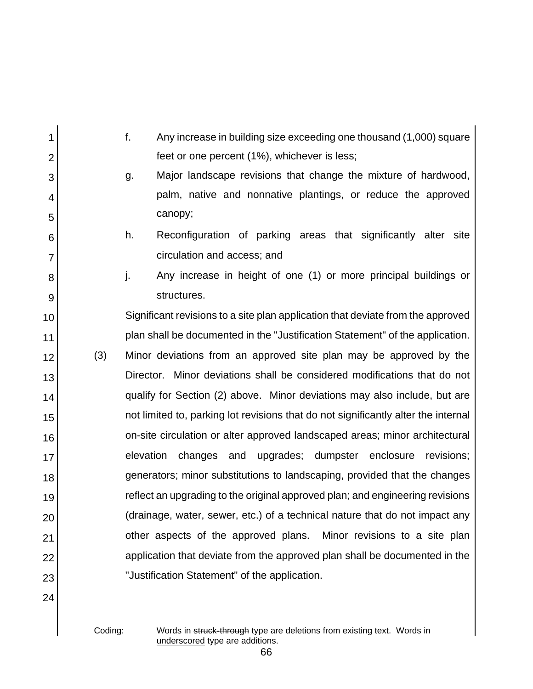| 1              |     | f.        | Any increase in building size exceeding one thousand (1,000) square                |
|----------------|-----|-----------|------------------------------------------------------------------------------------|
| $\overline{2}$ |     |           | feet or one percent (1%), whichever is less;                                       |
| 3              |     | g.        | Major landscape revisions that change the mixture of hardwood,                     |
| 4              |     |           | palm, native and nonnative plantings, or reduce the approved                       |
| 5              |     |           | canopy;                                                                            |
| 6              |     | h.        | Reconfiguration of parking areas that significantly alter site                     |
| 7              |     |           | circulation and access; and                                                        |
| 8              |     | j.        | Any increase in height of one (1) or more principal buildings or                   |
| 9              |     |           | structures.                                                                        |
| 10             |     |           | Significant revisions to a site plan application that deviate from the approved    |
| 11             |     |           | plan shall be documented in the "Justification Statement" of the application.      |
| 12             | (3) |           | Minor deviations from an approved site plan may be approved by the                 |
| 13             |     |           | Director. Minor deviations shall be considered modifications that do not           |
| 14             |     |           | qualify for Section (2) above. Minor deviations may also include, but are          |
| 15             |     |           | not limited to, parking lot revisions that do not significantly alter the internal |
| 16             |     |           | on-site circulation or alter approved landscaped areas; minor architectural        |
| 17             |     | elevation | and upgrades; dumpster enclosure revisions;<br>changes                             |
| 18             |     |           | generators; minor substitutions to landscaping, provided that the changes          |
| 19             |     |           | reflect an upgrading to the original approved plan; and engineering revisions      |
| 20             |     |           | (drainage, water, sewer, etc.) of a technical nature that do not impact any        |
| 21             |     |           | other aspects of the approved plans.<br>Minor revisions to a site plan             |
| 22             |     |           | application that deviate from the approved plan shall be documented in the         |
| 23             |     |           | "Justification Statement" of the application.                                      |
| 24             |     |           |                                                                                    |

Coding: Words in struck-through type are deletions from existing text. Words in underscored type are additions.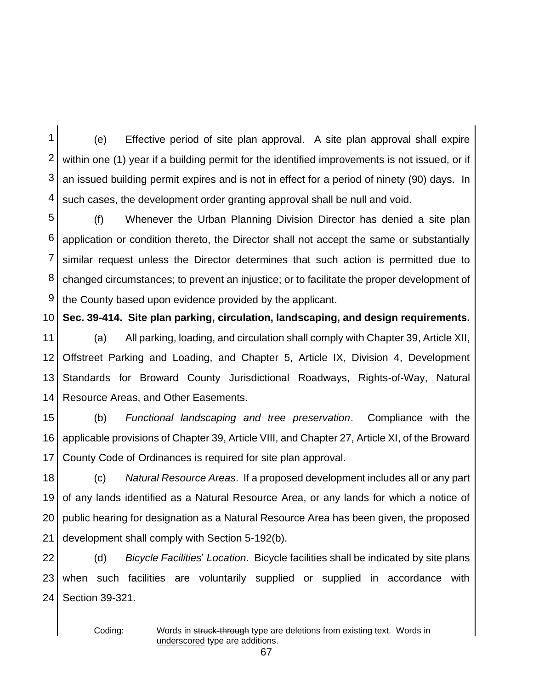1 2 3 4 (e) Effective period of site plan approval. A site plan approval shall expire within one (1) year if a building permit for the identified improvements is not issued, or if an issued building permit expires and is not in effect for a period of ninety (90) days. In such cases, the development order granting approval shall be null and void.

5 6 7 8 9 (f) Whenever the Urban Planning Division Director has denied a site plan application or condition thereto, the Director shall not accept the same or substantially similar request unless the Director determines that such action is permitted due to changed circumstances; to prevent an injustice; or to facilitate the proper development of the County based upon evidence provided by the applicant.

10 **Sec. 39-414. Site plan parking, circulation, landscaping, and design requirements.**

11 12 13 14 (a) All parking, loading, and circulation shall comply with Chapter 39, Article XII, Offstreet Parking and Loading, and Chapter 5, Article IX, Division 4, Development Standards for Broward County Jurisdictional Roadways, Rights-of-Way, Natural Resource Areas, and Other Easements.

15 16 17 (b) *Functional landscaping and tree preservation*. Compliance with the applicable provisions of Chapter 39, Article VIII, and Chapter 27, Article XI, of the Broward County Code of Ordinances is required for site plan approval.

18 19 20 21 (c) *Natural Resource Areas*. If a proposed development includes all or any part of any lands identified as a Natural Resource Area, or any lands for which a notice of public hearing for designation as a Natural Resource Area has been given, the proposed development shall comply with Section 5-192(b).

22 23 24 (d) *Bicycle Facilities*' *Location*. Bicycle facilities shall be indicated by site plans when such facilities are voluntarily supplied or supplied in accordance with Section 39-321.

Coding: Words in struck-through type are deletions from existing text. Words in underscored type are additions.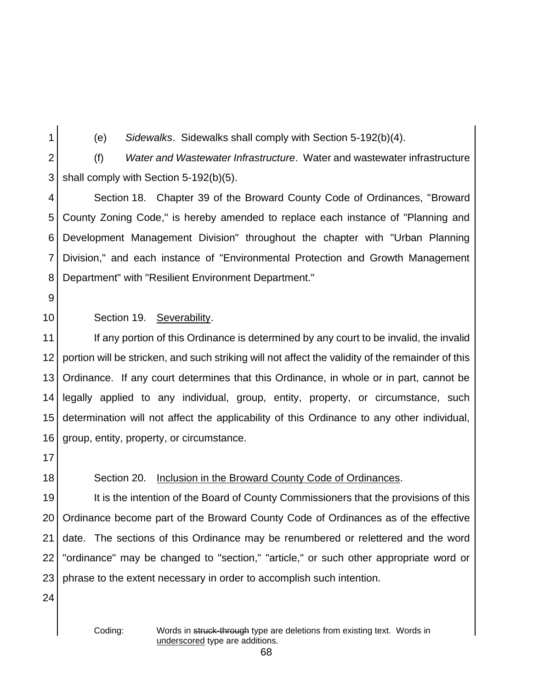(e) *Sidewalks*. Sidewalks shall comply with Section 5-192(b)(4).

2 3 (f) *Water and Wastewater Infrastructure*. Water and wastewater infrastructure shall comply with Section 5-192(b)(5).

4 5 6 7 8 Section 18. Chapter 39 of the Broward County Code of Ordinances, "Broward County Zoning Code," is hereby amended to replace each instance of "Planning and Development Management Division" throughout the chapter with "Urban Planning Division," and each instance of "Environmental Protection and Growth Management Department" with "Resilient Environment Department."

9

10

## Section 19. Severability.

11 12 13 14 15 16 If any portion of this Ordinance is determined by any court to be invalid, the invalid portion will be stricken, and such striking will not affect the validity of the remainder of this Ordinance. If any court determines that this Ordinance, in whole or in part, cannot be legally applied to any individual, group, entity, property, or circumstance, such determination will not affect the applicability of this Ordinance to any other individual, group, entity, property, or circumstance.

17

18

## Section 20. Inclusion in the Broward County Code of Ordinances.

19 20 21 22 23 It is the intention of the Board of County Commissioners that the provisions of this Ordinance become part of the Broward County Code of Ordinances as of the effective date. The sections of this Ordinance may be renumbered or relettered and the word "ordinance" may be changed to "section," "article," or such other appropriate word or phrase to the extent necessary in order to accomplish such intention.

24